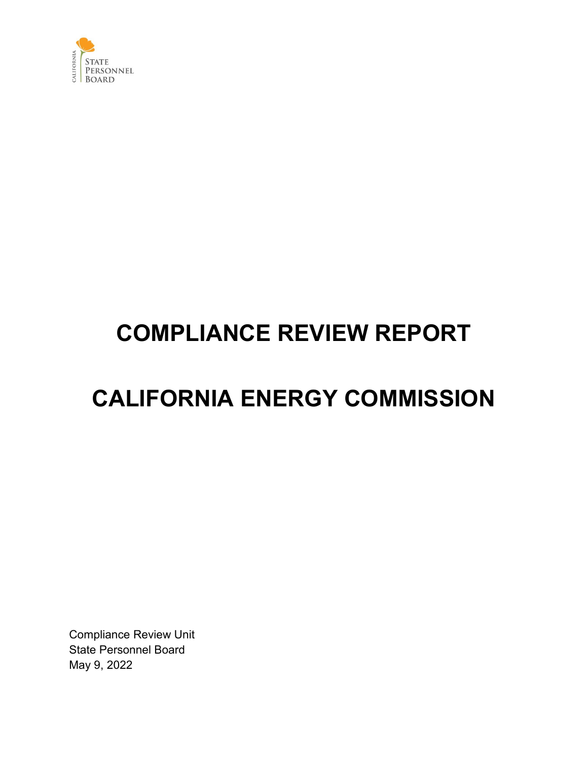

# **COMPLIANCE REVIEW REPORT**

## **CALIFORNIA ENERGY COMMISSION**

Compliance Review Unit State Personnel Board May 9, 2022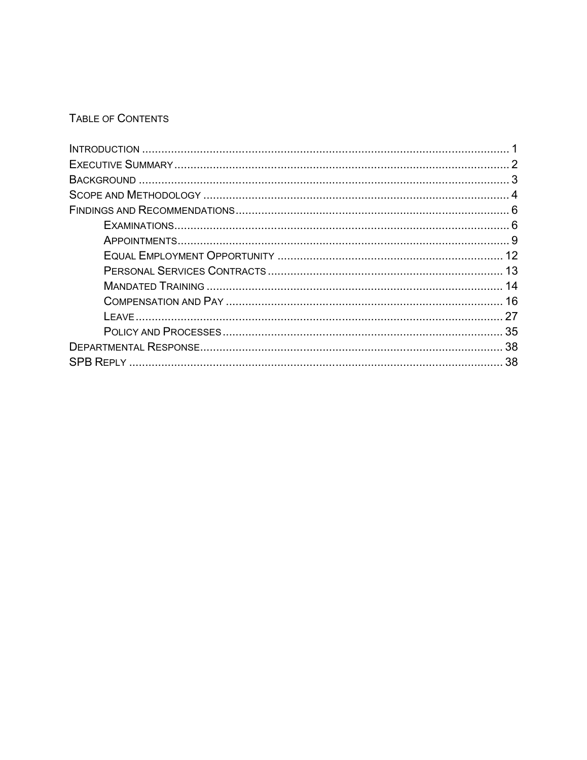## TABLE OF CONTENTS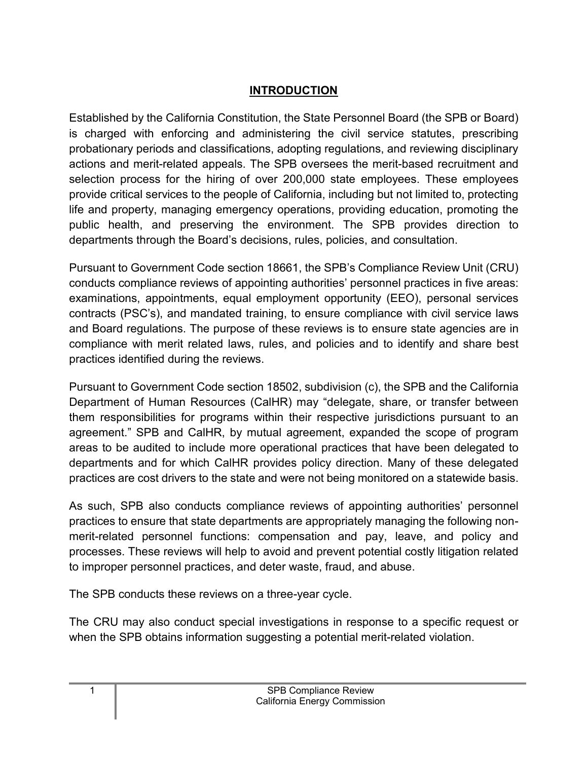## **INTRODUCTION**

<span id="page-2-0"></span>Established by the California Constitution, the State Personnel Board (the SPB or Board) is charged with enforcing and administering the civil service statutes, prescribing probationary periods and classifications, adopting regulations, and reviewing disciplinary actions and merit-related appeals. The SPB oversees the merit-based recruitment and selection process for the hiring of over 200,000 state employees. These employees provide critical services to the people of California, including but not limited to, protecting life and property, managing emergency operations, providing education, promoting the public health, and preserving the environment. The SPB provides direction to departments through the Board's decisions, rules, policies, and consultation.

Pursuant to Government Code section 18661, the SPB's Compliance Review Unit (CRU) conducts compliance reviews of appointing authorities' personnel practices in five areas: examinations, appointments, equal employment opportunity (EEO), personal services contracts (PSC's), and mandated training, to ensure compliance with civil service laws and Board regulations. The purpose of these reviews is to ensure state agencies are in compliance with merit related laws, rules, and policies and to identify and share best practices identified during the reviews.

Pursuant to Government Code section 18502, subdivision (c), the SPB and the California Department of Human Resources (CalHR) may "delegate, share, or transfer between them responsibilities for programs within their respective jurisdictions pursuant to an agreement." SPB and CalHR, by mutual agreement, expanded the scope of program areas to be audited to include more operational practices that have been delegated to departments and for which CalHR provides policy direction. Many of these delegated practices are cost drivers to the state and were not being monitored on a statewide basis.

As such, SPB also conducts compliance reviews of appointing authorities' personnel practices to ensure that state departments are appropriately managing the following nonmerit-related personnel functions: compensation and pay, leave, and policy and processes. These reviews will help to avoid and prevent potential costly litigation related to improper personnel practices, and deter waste, fraud, and abuse.

The SPB conducts these reviews on a three-year cycle.

The CRU may also conduct special investigations in response to a specific request or when the SPB obtains information suggesting a potential merit-related violation.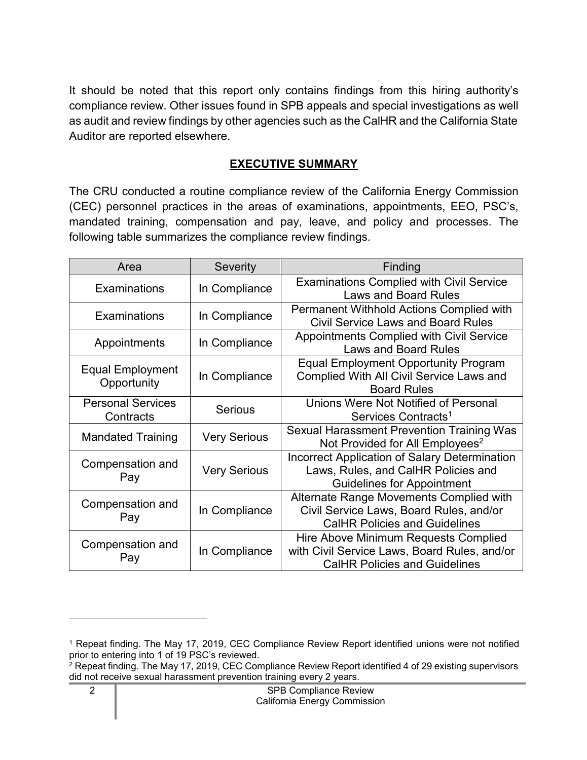It should be noted that this report only contains findings from this hiring authority's compliance review. Other issues found in SPB appeals and special investigations as well as audit and review findings by other agencies such as the CalHR and the California State Auditor are reported elsewhere.

#### **EXECUTIVE SUMMARY**

<span id="page-3-0"></span>The CRU conducted a routine compliance review of the California Energy Commission (CEC) personnel practices in the areas of examinations, appointments, EEO, PSC's, mandated training, compensation and pay, leave, and policy and processes. The following table summarizes the compliance review findings.

| Area                                   | Severity            | Finding                                                                                                                      |
|----------------------------------------|---------------------|------------------------------------------------------------------------------------------------------------------------------|
| Examinations                           | In Compliance       | <b>Examinations Complied with Civil Service</b><br><b>Laws and Board Rules</b>                                               |
| Examinations                           | In Compliance       | <b>Permanent Withhold Actions Complied with</b><br><b>Civil Service Laws and Board Rules</b>                                 |
| Appointments                           | In Compliance       | Appointments Complied with Civil Service<br><b>Laws and Board Rules</b>                                                      |
| <b>Equal Employment</b><br>Opportunity | In Compliance       | <b>Equal Employment Opportunity Program</b><br><b>Complied With All Civil Service Laws and</b><br><b>Board Rules</b>         |
| <b>Personal Services</b><br>Contracts  | <b>Serious</b>      | Unions Were Not Notified of Personal<br>Services Contracts <sup>1</sup>                                                      |
| <b>Mandated Training</b>               | <b>Very Serious</b> | <b>Sexual Harassment Prevention Training Was</b><br>Not Provided for All Employees <sup>2</sup>                              |
| Compensation and<br>Pay                | <b>Very Serious</b> | Incorrect Application of Salary Determination<br>Laws, Rules, and CalHR Policies and<br><b>Guidelines for Appointment</b>    |
| Compensation and<br>Pay                | In Compliance       | Alternate Range Movements Complied with<br>Civil Service Laws, Board Rules, and/or<br><b>CalHR Policies and Guidelines</b>   |
| Compensation and<br>Pay                | In Compliance       | Hire Above Minimum Requests Complied<br>with Civil Service Laws, Board Rules, and/or<br><b>CalHR Policies and Guidelines</b> |

<span id="page-3-1"></span><sup>1</sup> Repeat finding. The May 17, 2019, CEC Compliance Review Report identified unions were not notified prior to entering into 1 of 19 PSC's reviewed.

<span id="page-3-2"></span> $2$  Repeat finding. The May 17, 2019, CEC Compliance Review Report identified 4 of 29 existing supervisors did not receive sexual harassment prevention training every 2 years.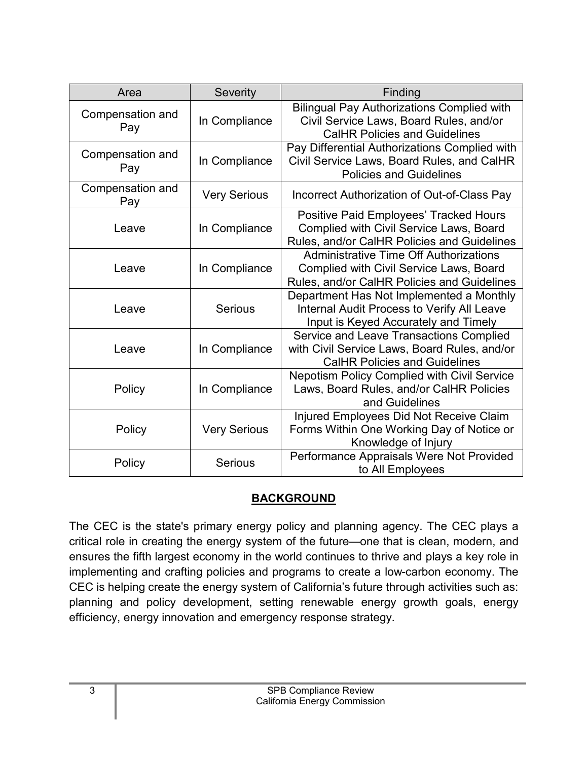| Area                    | Severity            | Finding                                                                                                                                 |
|-------------------------|---------------------|-----------------------------------------------------------------------------------------------------------------------------------------|
| Compensation and<br>Pay | In Compliance       | <b>Bilingual Pay Authorizations Complied with</b><br>Civil Service Laws, Board Rules, and/or<br><b>CalHR Policies and Guidelines</b>    |
| Compensation and<br>Pay | In Compliance       | Pay Differential Authorizations Complied with<br>Civil Service Laws, Board Rules, and CalHR<br><b>Policies and Guidelines</b>           |
| Compensation and<br>Pay | <b>Very Serious</b> | Incorrect Authorization of Out-of-Class Pay                                                                                             |
| Leave                   | In Compliance       | Positive Paid Employees' Tracked Hours<br>Complied with Civil Service Laws, Board<br>Rules, and/or CalHR Policies and Guidelines        |
| Leave                   | In Compliance       | <b>Administrative Time Off Authorizations</b><br>Complied with Civil Service Laws, Board<br>Rules, and/or CalHR Policies and Guidelines |
| Leave                   | <b>Serious</b>      | Department Has Not Implemented a Monthly<br>Internal Audit Process to Verify All Leave<br>Input is Keyed Accurately and Timely          |
| Leave                   | In Compliance       | Service and Leave Transactions Complied<br>with Civil Service Laws, Board Rules, and/or<br><b>CalHR Policies and Guidelines</b>         |
| Policy                  | In Compliance       | <b>Nepotism Policy Complied with Civil Service</b><br>Laws, Board Rules, and/or CalHR Policies<br>and Guidelines                        |
| Policy                  | <b>Very Serious</b> | Injured Employees Did Not Receive Claim<br>Forms Within One Working Day of Notice or<br>Knowledge of Injury                             |
| Policy                  | <b>Serious</b>      | Performance Appraisals Were Not Provided<br>to All Employees                                                                            |

## **BACKGROUND**

<span id="page-4-0"></span>The CEC is the state's primary energy policy and planning agency. The CEC plays a critical role in creating the energy system of the future—one that is clean, modern, and ensures the fifth largest economy in the world continues to thrive and plays a key role in implementing and crafting policies and programs to create a low-carbon economy. The CEC is helping create the energy system of California's future through activities such as: planning and policy development, setting renewable energy growth goals, energy efficiency, energy innovation and emergency response strategy.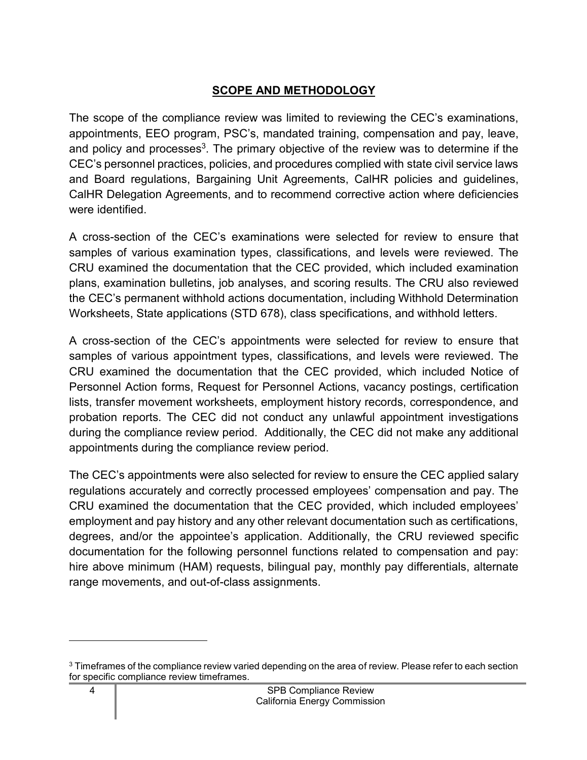## **SCOPE AND METHODOLOGY**

<span id="page-5-0"></span>The scope of the compliance review was limited to reviewing the CEC's examinations, appointments, EEO program, PSC's, mandated training, compensation and pay, leave, and policy and processes $^3$  $^3$ . The primary objective of the review was to determine if the CEC's personnel practices, policies, and procedures complied with state civil service laws and Board regulations, Bargaining Unit Agreements, CalHR policies and guidelines, CalHR Delegation Agreements, and to recommend corrective action where deficiencies were identified.

A cross-section of the CEC's examinations were selected for review to ensure that samples of various examination types, classifications, and levels were reviewed. The CRU examined the documentation that the CEC provided, which included examination plans, examination bulletins, job analyses, and scoring results. The CRU also reviewed the CEC's permanent withhold actions documentation, including Withhold Determination Worksheets, State applications (STD 678), class specifications, and withhold letters.

A cross-section of the CEC's appointments were selected for review to ensure that samples of various appointment types, classifications, and levels were reviewed. The CRU examined the documentation that the CEC provided, which included Notice of Personnel Action forms, Request for Personnel Actions, vacancy postings, certification lists, transfer movement worksheets, employment history records, correspondence, and probation reports. The CEC did not conduct any unlawful appointment investigations during the compliance review period. Additionally, the CEC did not make any additional appointments during the compliance review period.

The CEC's appointments were also selected for review to ensure the CEC applied salary regulations accurately and correctly processed employees' compensation and pay. The CRU examined the documentation that the CEC provided, which included employees' employment and pay history and any other relevant documentation such as certifications, degrees, and/or the appointee's application. Additionally, the CRU reviewed specific documentation for the following personnel functions related to compensation and pay: hire above minimum (HAM) requests, bilingual pay, monthly pay differentials, alternate range movements, and out-of-class assignments.

<span id="page-5-1"></span><sup>&</sup>lt;sup>3</sup> Timeframes of the compliance review varied depending on the area of review. Please refer to each section for specific compliance review timeframes.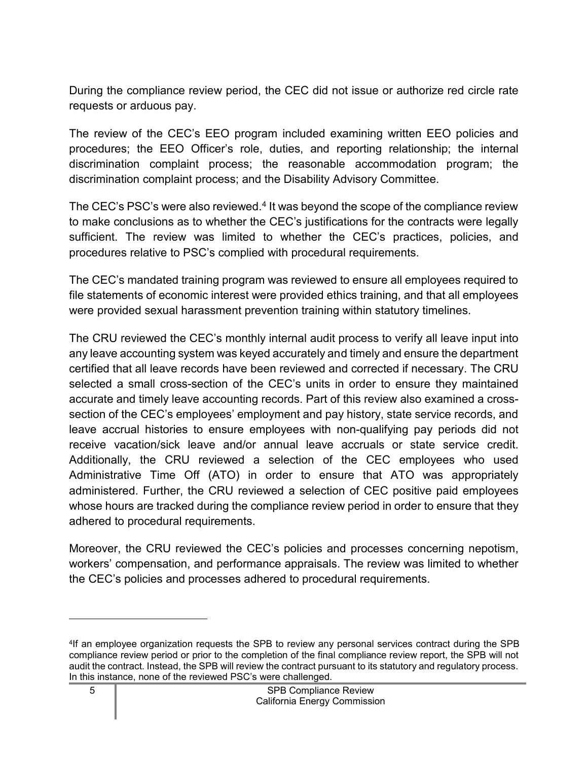During the compliance review period, the CEC did not issue or authorize red circle rate requests or arduous pay.

The review of the CEC's EEO program included examining written EEO policies and procedures; the EEO Officer's role, duties, and reporting relationship; the internal discrimination complaint process; the reasonable accommodation program; the discrimination complaint process; and the Disability Advisory Committee.

The CEC's PSC's were also reviewed. $4$  It was beyond the scope of the compliance review to make conclusions as to whether the CEC's justifications for the contracts were legally sufficient. The review was limited to whether the CEC's practices, policies, and procedures relative to PSC's complied with procedural requirements.

The CEC's mandated training program was reviewed to ensure all employees required to file statements of economic interest were provided ethics training, and that all employees were provided sexual harassment prevention training within statutory timelines.

The CRU reviewed the CEC's monthly internal audit process to verify all leave input into any leave accounting system was keyed accurately and timely and ensure the department certified that all leave records have been reviewed and corrected if necessary. The CRU selected a small cross-section of the CEC's units in order to ensure they maintained accurate and timely leave accounting records. Part of this review also examined a crosssection of the CEC's employees' employment and pay history, state service records, and leave accrual histories to ensure employees with non-qualifying pay periods did not receive vacation/sick leave and/or annual leave accruals or state service credit. Additionally, the CRU reviewed a selection of the CEC employees who used Administrative Time Off (ATO) in order to ensure that ATO was appropriately administered. Further, the CRU reviewed a selection of CEC positive paid employees whose hours are tracked during the compliance review period in order to ensure that they adhered to procedural requirements.

Moreover, the CRU reviewed the CEC's policies and processes concerning nepotism, workers' compensation, and performance appraisals. The review was limited to whether the CEC's policies and processes adhered to procedural requirements.

<span id="page-6-0"></span><sup>4</sup> If an employee organization requests the SPB to review any personal services contract during the SPB compliance review period or prior to the completion of the final compliance review report, the SPB will not audit the contract. Instead, the SPB will review the contract pursuant to its statutory and regulatory process. In this instance, none of the reviewed PSC's were challenged.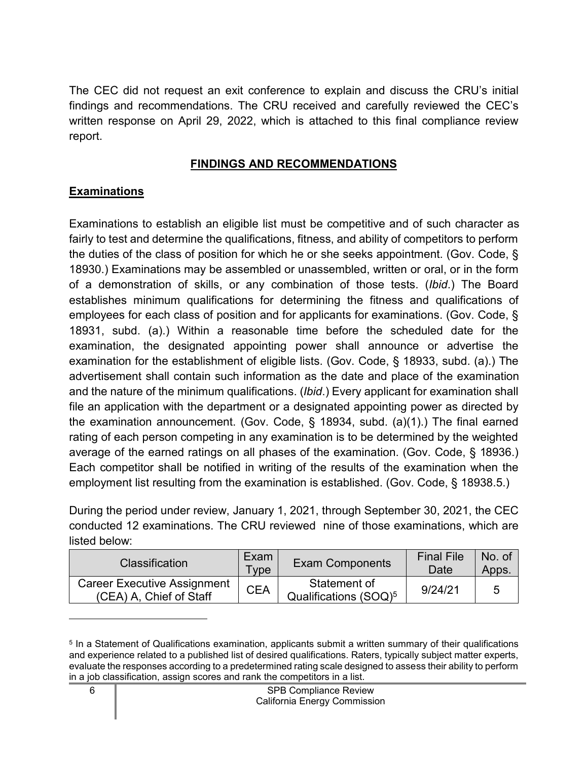The CEC did not request an exit conference to explain and discuss the CRU's initial findings and recommendations. The CRU received and carefully reviewed the CEC's written response on April 29, 2022, which is attached to this final compliance review report.

#### **FINDINGS AND RECOMMENDATIONS**

#### <span id="page-7-1"></span><span id="page-7-0"></span>**Examinations**

Examinations to establish an eligible list must be competitive and of such character as fairly to test and determine the qualifications, fitness, and ability of competitors to perform the duties of the class of position for which he or she seeks appointment. (Gov. Code, § 18930.) Examinations may be assembled or unassembled, written or oral, or in the form of a demonstration of skills, or any combination of those tests. (*Ibid*.) The Board establishes minimum qualifications for determining the fitness and qualifications of employees for each class of position and for applicants for examinations. (Gov. Code, § 18931, subd. (a).) Within a reasonable time before the scheduled date for the examination, the designated appointing power shall announce or advertise the examination for the establishment of eligible lists. (Gov. Code, § 18933, subd. (a).) The advertisement shall contain such information as the date and place of the examination and the nature of the minimum qualifications. (*Ibid*.) Every applicant for examination shall file an application with the department or a designated appointing power as directed by the examination announcement. (Gov. Code, § 18934, subd. (a)(1).) The final earned rating of each person competing in any examination is to be determined by the weighted average of the earned ratings on all phases of the examination. (Gov. Code, § 18936.) Each competitor shall be notified in writing of the results of the examination when the employment list resulting from the examination is established. (Gov. Code, § 18938.5.)

During the period under review, January 1, 2021, through September 30, 2021, the CEC conducted 12 examinations. The CRU reviewed nine of those examinations, which are listed below:

| <b>Classification</b>                                         | Exam<br>⊺vpe | <b>Exam Components</b>                            | <b>Final File</b><br>Date | No. of<br>Apps. |
|---------------------------------------------------------------|--------------|---------------------------------------------------|---------------------------|-----------------|
| <b>Career Executive Assignment</b><br>(CEA) A, Chief of Staff | <b>CEA</b>   | Statement of<br>Qualifications (SOQ) <sup>5</sup> | 9/24/21                   |                 |

<span id="page-7-2"></span> $^{\rm 5}$  In a Statement of Qualifications examination, applicants submit a written summary of their qualifications and experience related to a published list of desired qualifications. Raters, typically subject matter experts, evaluate the responses according to a predetermined rating scale designed to assess their ability to perform in a job classification, assign scores and rank the competitors in a list.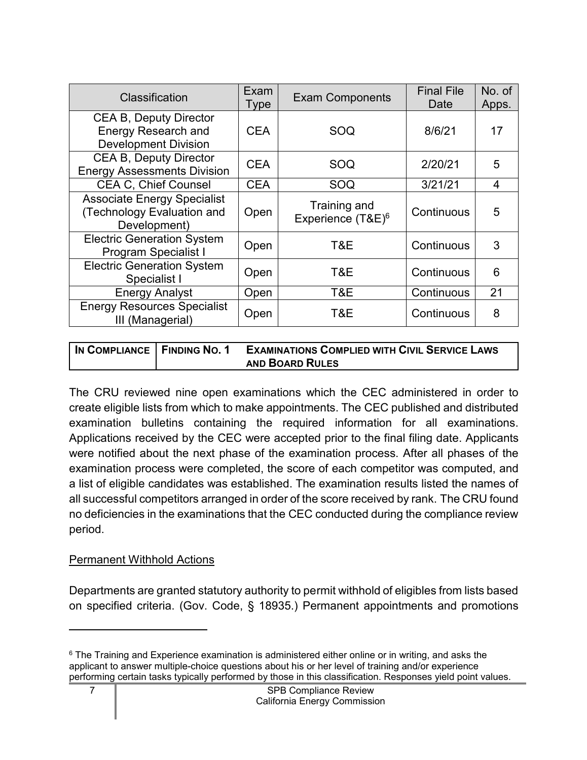| Classification                                                                             | Exam<br><b>Type</b> | <b>Exam Components</b>                        | <b>Final File</b><br>Date | No. of<br>Apps. |
|--------------------------------------------------------------------------------------------|---------------------|-----------------------------------------------|---------------------------|-----------------|
| <b>CEA B, Deputy Director</b><br><b>Energy Research and</b><br><b>Development Division</b> | <b>CEA</b>          | SOQ                                           | 8/6/21                    | 17              |
| <b>CEA B, Deputy Director</b><br><b>Energy Assessments Division</b>                        | <b>CEA</b>          | SOQ                                           | 2/20/21                   | 5               |
| <b>CEA C. Chief Counsel</b>                                                                | <b>CEA</b>          | SOQ                                           | 3/21/21                   | 4               |
| <b>Associate Energy Specialist</b><br>(Technology Evaluation and<br>Development)           | Open                | Training and<br>Experience (T&E) <sup>6</sup> | Continuous                | 5               |
| <b>Electric Generation System</b><br><b>Program Specialist I</b>                           | Open                | T&E                                           | Continuous                | 3               |
| <b>Electric Generation System</b><br>Specialist I                                          | Open                | T&E                                           | Continuous                | 6               |
| <b>Energy Analyst</b>                                                                      | Open                | T&E                                           | Continuous                | 21              |
| <b>Energy Resources Specialist</b><br>III (Managerial)                                     | Open                | T&E                                           | Continuous                | 8               |

| IN COMPLIANCE   FINDING NO. 1 | <b>EXAMINATIONS COMPLIED WITH CIVIL SERVICE LAWS</b> |
|-------------------------------|------------------------------------------------------|
|                               | <b>AND BOARD RULES</b>                               |

The CRU reviewed nine open examinations which the CEC administered in order to create eligible lists from which to make appointments. The CEC published and distributed examination bulletins containing the required information for all examinations. Applications received by the CEC were accepted prior to the final filing date. Applicants were notified about the next phase of the examination process. After all phases of the examination process were completed, the score of each competitor was computed, and a list of eligible candidates was established. The examination results listed the names of all successful competitors arranged in order of the score received by rank. The CRU found no deficiencies in the examinations that the CEC conducted during the compliance review period.

#### Permanent Withhold Actions

Departments are granted statutory authority to permit withhold of eligibles from lists based on specified criteria. (Gov. Code, § 18935.) Permanent appointments and promotions

<span id="page-8-0"></span><sup>&</sup>lt;sup>6</sup> The Training and Experience examination is administered either online or in writing, and asks the applicant to answer multiple-choice questions about his or her level of training and/or experience performing certain tasks typically performed by those in this classification. Responses yield point values.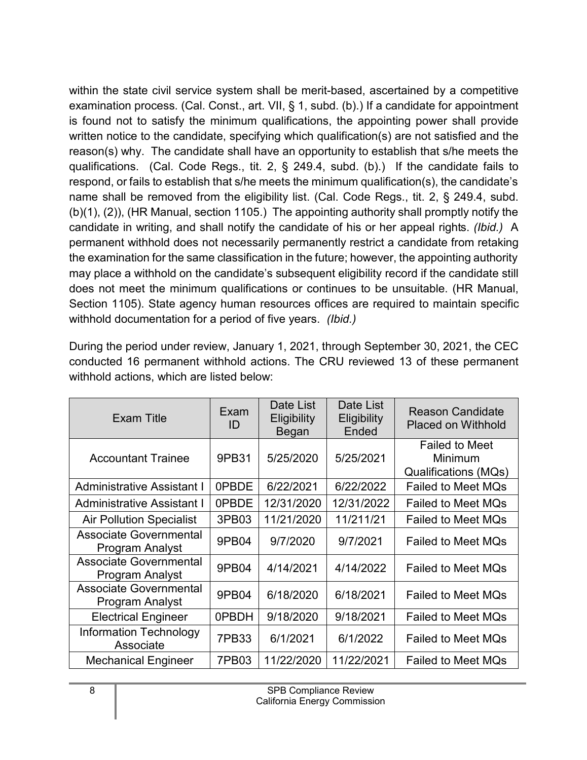within the state civil service system shall be merit-based, ascertained by a competitive examination process. (Cal. Const., art. VII, § 1, subd. (b).) If a candidate for appointment is found not to satisfy the minimum qualifications, the appointing power shall provide written notice to the candidate, specifying which qualification(s) are not satisfied and the reason(s) why. The candidate shall have an opportunity to establish that s/he meets the qualifications. (Cal. Code Regs., tit. 2, § 249.4, subd. (b).) If the candidate fails to respond, or fails to establish that s/he meets the minimum qualification(s), the candidate's name shall be removed from the eligibility list. (Cal. Code Regs., tit. 2, § 249.4, subd. (b)(1), (2)), (HR Manual, section 1105.) The appointing authority shall promptly notify the candidate in writing, and shall notify the candidate of his or her appeal rights. *(Ibid.)* A permanent withhold does not necessarily permanently restrict a candidate from retaking the examination for the same classification in the future; however, the appointing authority may place a withhold on the candidate's subsequent eligibility record if the candidate still does not meet the minimum qualifications or continues to be unsuitable. (HR Manual, Section 1105). State agency human resources offices are required to maintain specific withhold documentation for a period of five years. *(Ibid.)*

conducted 16 permanent withhold actions. The CRU reviewed 13 of these permanent withhold actions, which are listed below: Date List Date List

During the period under review, January 1, 2021, through September 30, 2021, the CEC

| <b>Exam Title</b>                                | Exam<br>ID | Date List<br>Eligibility<br><b>Began</b> | Date List<br>Eligibility<br>Ended | <b>Reason Candidate</b><br><b>Placed on Withhold</b>     |
|--------------------------------------------------|------------|------------------------------------------|-----------------------------------|----------------------------------------------------------|
| <b>Accountant Trainee</b>                        | 9PB31      | 5/25/2020                                | 5/25/2021                         | <b>Failed to Meet</b><br>Minimum<br>Qualifications (MQs) |
| <b>Administrative Assistant I</b>                | 0PBDE      | 6/22/2021                                | 6/22/2022                         | <b>Failed to Meet MQs</b>                                |
| <b>Administrative Assistant I</b>                | 0PBDE      | 12/31/2020                               | 12/31/2022                        | <b>Failed to Meet MQs</b>                                |
| <b>Air Pollution Specialist</b>                  | 3PB03      | 11/21/2020                               | 11/211/21                         | <b>Failed to Meet MQs</b>                                |
| <b>Associate Governmental</b><br>Program Analyst | 9PB04      | 9/7/2020                                 | 9/7/2021                          | <b>Failed to Meet MQs</b>                                |
| <b>Associate Governmental</b><br>Program Analyst | 9PB04      | 4/14/2021                                | 4/14/2022                         | <b>Failed to Meet MQs</b>                                |
| <b>Associate Governmental</b><br>Program Analyst | 9PB04      | 6/18/2020                                | 6/18/2021                         | <b>Failed to Meet MQs</b>                                |
| <b>Electrical Engineer</b>                       | 0PBDH      | 9/18/2020                                | 9/18/2021                         | <b>Failed to Meet MQs</b>                                |
| <b>Information Technology</b><br>Associate       | 7PB33      | 6/1/2021                                 | 6/1/2022                          | <b>Failed to Meet MQs</b>                                |
| <b>Mechanical Engineer</b>                       | 7PB03      | 11/22/2020                               | 11/22/2021                        | <b>Failed to Meet MQs</b>                                |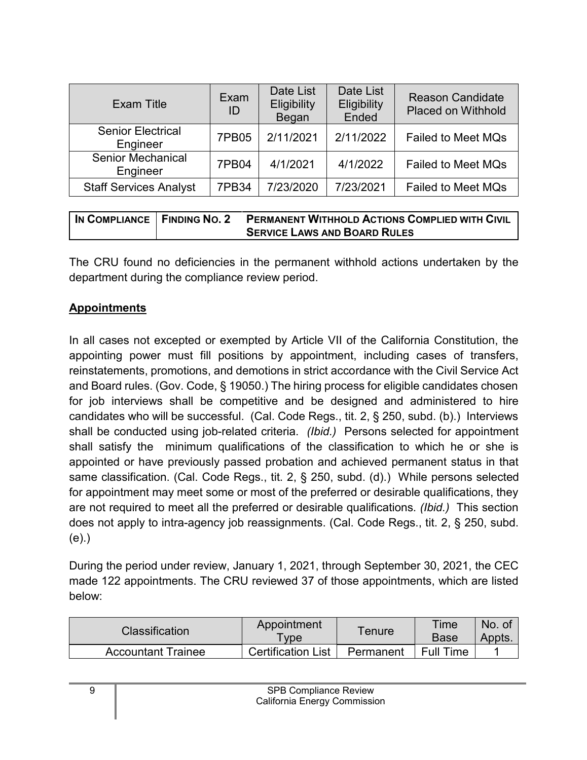| Exam Title                           | Exam<br>ID   | Date List<br>Eligibility<br>Began | Date List<br><b>Eligibility</b><br>Ended | <b>Reason Candidate</b><br><b>Placed on Withhold</b> |
|--------------------------------------|--------------|-----------------------------------|------------------------------------------|------------------------------------------------------|
| <b>Senior Electrical</b><br>Engineer | <b>7PB05</b> | 2/11/2021                         | 2/11/2022                                | <b>Failed to Meet MQs</b>                            |
| <b>Senior Mechanical</b><br>Engineer | 7PB04        | 4/1/2021                          | 4/1/2022                                 | <b>Failed to Meet MQs</b>                            |
| <b>Staff Services Analyst</b>        | <b>7PB34</b> | 7/23/2020                         | 7/23/2021                                | <b>Failed to Meet MQs</b>                            |

| IN COMPLIANCE   FINDING NO. 2 | <b>PERMANENT WITHHOLD ACTIONS COMPLIED WITH CIVIL</b> |
|-------------------------------|-------------------------------------------------------|
|                               | <b>SERVICE LAWS AND BOARD RULES</b>                   |

The CRU found no deficiencies in the permanent withhold actions undertaken by the department during the compliance review period.

#### <span id="page-10-0"></span>**Appointments**

In all cases not excepted or exempted by Article VII of the California Constitution, the appointing power must fill positions by appointment, including cases of transfers, reinstatements, promotions, and demotions in strict accordance with the Civil Service Act and Board rules. (Gov. Code, § 19050.) The hiring process for eligible candidates chosen for job interviews shall be competitive and be designed and administered to hire candidates who will be successful. (Cal. Code Regs., tit. 2, § 250, subd. (b).) Interviews shall be conducted using job-related criteria. *(Ibid.)* Persons selected for appointment shall satisfy the minimum qualifications of the classification to which he or she is appointed or have previously passed probation and achieved permanent status in that same classification. (Cal. Code Regs., tit. 2, § 250, subd. (d).) While persons selected for appointment may meet some or most of the preferred or desirable qualifications, they are not required to meet all the preferred or desirable qualifications. *(Ibid.)* This section does not apply to intra-agency job reassignments. (Cal. Code Regs., tit. 2, § 250, subd. (e).)

During the period under review, January 1, 2021, through September 30, 2021, the CEC made 122 appointments. The CRU reviewed 37 of those appointments, which are listed below:

| <b>Classification</b> | Appointment<br>$T$ vpe    | ™enure    | Time<br><b>Base</b> | No.<br>- OT<br>Appts. |
|-----------------------|---------------------------|-----------|---------------------|-----------------------|
| Accountant Trainee    | <b>Certification List</b> | Permanent | <b>Full Time</b>    |                       |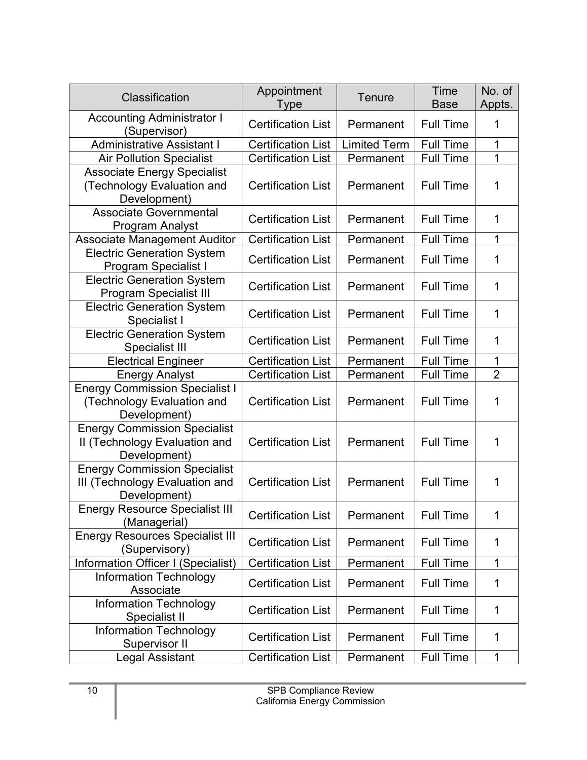| <b>Classification</b>                                                                 | Appointment<br>Type       | <b>Tenure</b>       | Time<br><b>Base</b> | No. of<br>Appts. |
|---------------------------------------------------------------------------------------|---------------------------|---------------------|---------------------|------------------|
| <b>Accounting Administrator I</b><br>(Supervisor)                                     | <b>Certification List</b> | Permanent           | <b>Full Time</b>    | 1                |
| <b>Administrative Assistant I</b>                                                     | <b>Certification List</b> | <b>Limited Term</b> | <b>Full Time</b>    | 1                |
| <b>Air Pollution Specialist</b>                                                       | <b>Certification List</b> | Permanent           | <b>Full Time</b>    | 1                |
| <b>Associate Energy Specialist</b><br>(Technology Evaluation and<br>Development)      | <b>Certification List</b> | Permanent           | <b>Full Time</b>    | 1                |
| <b>Associate Governmental</b><br>Program Analyst                                      | <b>Certification List</b> | Permanent           | <b>Full Time</b>    | 1                |
| <b>Associate Management Auditor</b>                                                   | <b>Certification List</b> | Permanent           | <b>Full Time</b>    | 1                |
| <b>Electric Generation System</b><br><b>Program Specialist I</b>                      | <b>Certification List</b> | Permanent           | <b>Full Time</b>    | 1                |
| <b>Electric Generation System</b><br><b>Program Specialist III</b>                    | <b>Certification List</b> | Permanent           | <b>Full Time</b>    | 1                |
| <b>Electric Generation System</b><br>Specialist I                                     | <b>Certification List</b> | Permanent           | <b>Full Time</b>    | 1                |
| <b>Electric Generation System</b><br>Specialist III                                   | <b>Certification List</b> | Permanent           | <b>Full Time</b>    | 1                |
| <b>Electrical Engineer</b>                                                            | <b>Certification List</b> | Permanent           | <b>Full Time</b>    | 1                |
| <b>Energy Analyst</b>                                                                 | <b>Certification List</b> | Permanent           | <b>Full Time</b>    | $\overline{2}$   |
| <b>Energy Commission Specialist I</b><br>(Technology Evaluation and<br>Development)   | <b>Certification List</b> | Permanent           | <b>Full Time</b>    | 1                |
| <b>Energy Commission Specialist</b><br>II (Technology Evaluation and<br>Development)  | <b>Certification List</b> | Permanent           | <b>Full Time</b>    | 1                |
| <b>Energy Commission Specialist</b><br>III (Technology Evaluation and<br>Development) | <b>Certification List</b> | Permanent           | <b>Full Time</b>    | 1                |
| <b>Energy Resource Specialist III</b><br>(Managerial)                                 | <b>Certification List</b> | Permanent           | <b>Full Time</b>    | 1                |
| <b>Energy Resources Specialist III</b><br>(Supervisory)                               | <b>Certification List</b> | Permanent           | <b>Full Time</b>    | 1                |
| Information Officer I (Specialist)                                                    | <b>Certification List</b> | Permanent           | <b>Full Time</b>    | $\mathbf{1}$     |
| <b>Information Technology</b><br>Associate                                            | <b>Certification List</b> | Permanent           | <b>Full Time</b>    | 1                |
| <b>Information Technology</b><br>Specialist II                                        | <b>Certification List</b> | Permanent           | <b>Full Time</b>    | 1                |
| <b>Information Technology</b><br>Supervisor II                                        | <b>Certification List</b> | Permanent           | <b>Full Time</b>    | 1                |
| Legal Assistant                                                                       | <b>Certification List</b> | Permanent           | <b>Full Time</b>    | 1                |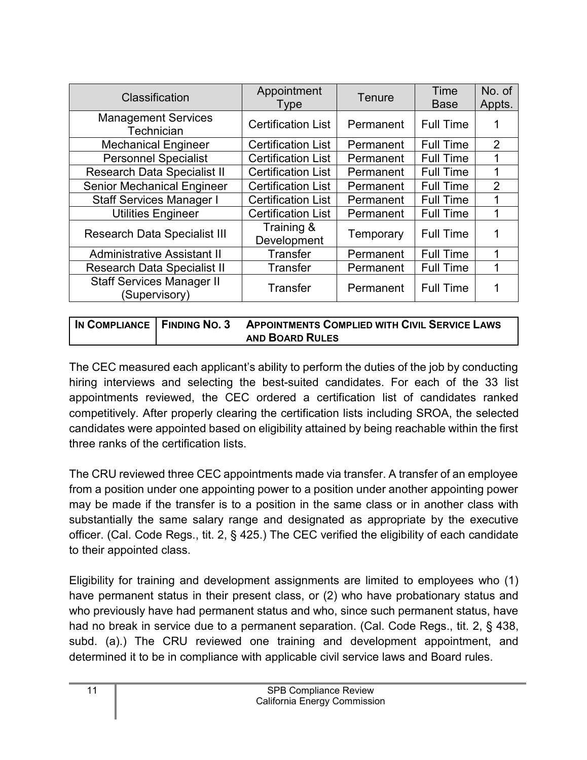| Classification                                    | Appointment<br><b>Type</b> | <b>Tenure</b> | Time<br><b>Base</b> | No. of<br>Appts. |
|---------------------------------------------------|----------------------------|---------------|---------------------|------------------|
| <b>Management Services</b><br>Technician          | <b>Certification List</b>  | Permanent     | <b>Full Time</b>    |                  |
| <b>Mechanical Engineer</b>                        | <b>Certification List</b>  | Permanent     | <b>Full Time</b>    | $\overline{2}$   |
| <b>Personnel Specialist</b>                       | <b>Certification List</b>  | Permanent     | <b>Full Time</b>    |                  |
| <b>Research Data Specialist II</b>                | <b>Certification List</b>  | Permanent     | <b>Full Time</b>    |                  |
| <b>Senior Mechanical Engineer</b>                 | <b>Certification List</b>  | Permanent     | <b>Full Time</b>    | $\overline{2}$   |
| <b>Staff Services Manager I</b>                   | <b>Certification List</b>  | Permanent     | <b>Full Time</b>    |                  |
| Utilities Engineer                                | <b>Certification List</b>  | Permanent     | <b>Full Time</b>    |                  |
| <b>Research Data Specialist III</b>               | Training &<br>Development  | Temporary     | <b>Full Time</b>    |                  |
| <b>Administrative Assistant II</b>                | <b>Transfer</b>            | Permanent     | <b>Full Time</b>    |                  |
| <b>Research Data Specialist II</b>                | <b>Transfer</b>            | Permanent     | <b>Full Time</b>    |                  |
| <b>Staff Services Manager II</b><br>(Supervisory) | Transfer                   | Permanent     | <b>Full Time</b>    |                  |

**IN COMPLIANCE FINDING NO. 3 APPOINTMENTS COMPLIED WITH CIVIL SERVICE LAWS AND BOARD RULES**

The CEC measured each applicant's ability to perform the duties of the job by conducting hiring interviews and selecting the best-suited candidates. For each of the 33 list appointments reviewed, the CEC ordered a certification list of candidates ranked competitively. After properly clearing the certification lists including SROA, the selected candidates were appointed based on eligibility attained by being reachable within the first three ranks of the certification lists.

The CRU reviewed three CEC appointments made via transfer. A transfer of an employee from a position under one appointing power to a position under another appointing power may be made if the transfer is to a position in the same class or in another class with substantially the same salary range and designated as appropriate by the executive officer. (Cal. Code Regs., tit. 2, § 425.) The CEC verified the eligibility of each candidate to their appointed class.

Eligibility for training and development assignments are limited to employees who (1) have permanent status in their present class, or (2) who have probationary status and who previously have had permanent status and who, since such permanent status, have had no break in service due to a permanent separation. (Cal. Code Regs., tit. 2, § 438, subd. (a).) The CRU reviewed one training and development appointment, and determined it to be in compliance with applicable civil service laws and Board rules.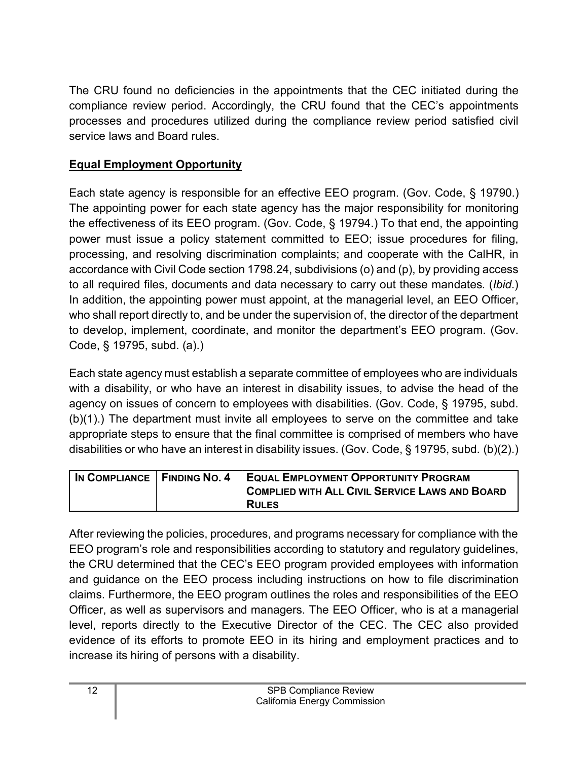The CRU found no deficiencies in the appointments that the CEC initiated during the compliance review period. Accordingly, the CRU found that the CEC's appointments processes and procedures utilized during the compliance review period satisfied civil service laws and Board rules.

## <span id="page-13-0"></span>**Equal Employment Opportunity**

Each state agency is responsible for an effective EEO program. (Gov. Code, § 19790.) The appointing power for each state agency has the major responsibility for monitoring the effectiveness of its EEO program. (Gov. Code, § 19794.) To that end, the appointing power must issue a policy statement committed to EEO; issue procedures for filing, processing, and resolving discrimination complaints; and cooperate with the CalHR, in accordance with Civil Code section 1798.24, subdivisions (o) and (p), by providing access to all required files, documents and data necessary to carry out these mandates. (*Ibid*.) In addition, the appointing power must appoint, at the managerial level, an EEO Officer, who shall report directly to, and be under the supervision of, the director of the department to develop, implement, coordinate, and monitor the department's EEO program. (Gov. Code, § 19795, subd. (a).)

Each state agency must establish a separate committee of employees who are individuals with a disability, or who have an interest in disability issues, to advise the head of the agency on issues of concern to employees with disabilities. (Gov. Code, § 19795, subd. (b)(1).) The department must invite all employees to serve on the committee and take appropriate steps to ensure that the final committee is comprised of members who have disabilities or who have an interest in disability issues. (Gov. Code, § 19795, subd. (b)(2).)

| IN COMPLIANCE   FINDING NO. 4 | <b>EQUAL EMPLOYMENT OPPORTUNITY PROGRAM</b>           |
|-------------------------------|-------------------------------------------------------|
|                               | <b>COMPLIED WITH ALL CIVIL SERVICE LAWS AND BOARD</b> |
|                               | <b>RULES</b>                                          |

After reviewing the policies, procedures, and programs necessary for compliance with the EEO program's role and responsibilities according to statutory and regulatory guidelines, the CRU determined that the CEC's EEO program provided employees with information and guidance on the EEO process including instructions on how to file discrimination claims. Furthermore, the EEO program outlines the roles and responsibilities of the EEO Officer, as well as supervisors and managers. The EEO Officer, who is at a managerial level, reports directly to the Executive Director of the CEC. The CEC also provided evidence of its efforts to promote EEO in its hiring and employment practices and to increase its hiring of persons with a disability.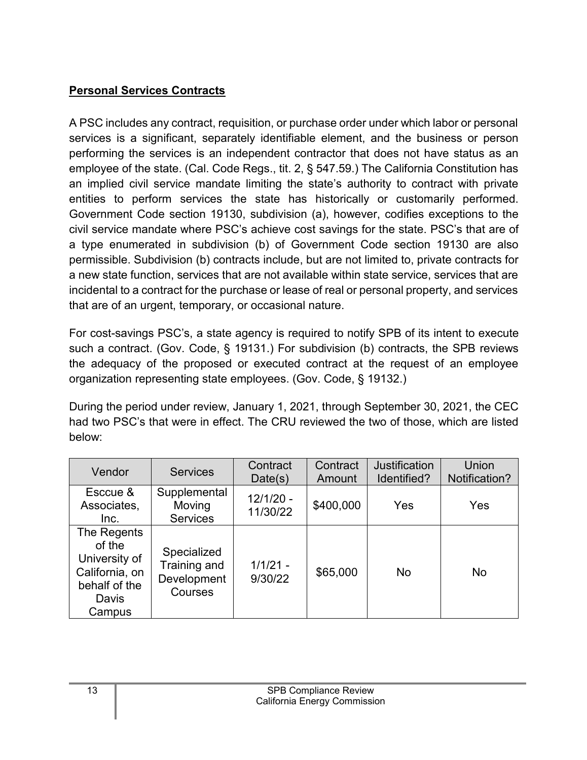## <span id="page-14-0"></span>**Personal Services Contracts**

A PSC includes any contract, requisition, or purchase order under which labor or personal services is a significant, separately identifiable element, and the business or person performing the services is an independent contractor that does not have status as an employee of the state. (Cal. Code Regs., tit. 2, § 547.59.) The California Constitution has an implied civil service mandate limiting the state's authority to contract with private entities to perform services the state has historically or customarily performed. Government Code section 19130, subdivision (a), however, codifies exceptions to the civil service mandate where PSC's achieve cost savings for the state. PSC's that are of a type enumerated in subdivision (b) of Government Code section 19130 are also permissible. Subdivision (b) contracts include, but are not limited to, private contracts for a new state function, services that are not available within state service, services that are incidental to a contract for the purchase or lease of real or personal property, and services that are of an urgent, temporary, or occasional nature.

For cost-savings PSC's, a state agency is required to notify SPB of its intent to execute such a contract. (Gov. Code, § 19131.) For subdivision (b) contracts, the SPB reviews the adequacy of the proposed or executed contract at the request of an employee organization representing state employees. (Gov. Code, § 19132.)

During the period under review, January 1, 2021, through September 30, 2021, the CEC had two PSC's that were in effect. The CRU reviewed the two of those, which are listed below:

| Vendor                                                                                       | <b>Services</b>                                       | Contract<br>Date(s)     | Contract<br>Amount | <b>Justification</b><br>Identified? | Union<br>Notification? |
|----------------------------------------------------------------------------------------------|-------------------------------------------------------|-------------------------|--------------------|-------------------------------------|------------------------|
| Esccue &<br>Associates,<br>Inc.                                                              | Supplemental<br>Moving<br><b>Services</b>             | $12/1/20 -$<br>11/30/22 | \$400,000          | Yes                                 | Yes                    |
| The Regents<br>of the<br>University of<br>California, on<br>behalf of the<br>Davis<br>Campus | Specialized<br>Training and<br>Development<br>Courses | $1/1/21 -$<br>9/30/22   | \$65,000           | No                                  | No                     |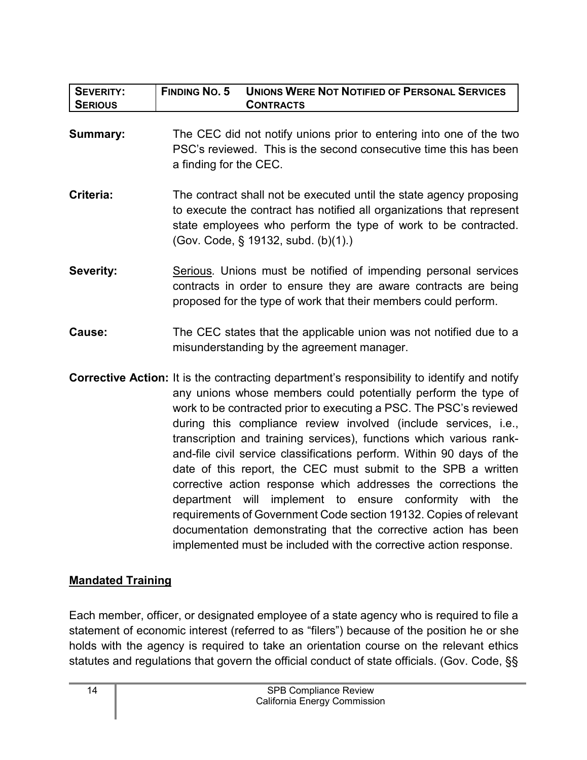| <b>SEVERITY:</b><br><b>SERIOUS</b> | <b>FINDING NO. 5</b><br><b>UNIONS WERE NOT NOTIFIED OF PERSONAL SERVICES</b><br><b>CONTRACTS</b>                                                                                                                                                                                                                                                                                                                                                                                                                                                                                                                                                                                                                                                                                                                                                                            |
|------------------------------------|-----------------------------------------------------------------------------------------------------------------------------------------------------------------------------------------------------------------------------------------------------------------------------------------------------------------------------------------------------------------------------------------------------------------------------------------------------------------------------------------------------------------------------------------------------------------------------------------------------------------------------------------------------------------------------------------------------------------------------------------------------------------------------------------------------------------------------------------------------------------------------|
| <b>Summary:</b>                    | The CEC did not notify unions prior to entering into one of the two<br>PSC's reviewed. This is the second consecutive time this has been<br>a finding for the CEC.                                                                                                                                                                                                                                                                                                                                                                                                                                                                                                                                                                                                                                                                                                          |
| Criteria:                          | The contract shall not be executed until the state agency proposing<br>to execute the contract has notified all organizations that represent<br>state employees who perform the type of work to be contracted.<br>(Gov. Code, § 19132, subd. (b)(1).)                                                                                                                                                                                                                                                                                                                                                                                                                                                                                                                                                                                                                       |
| Severity:                          | Serious. Unions must be notified of impending personal services<br>contracts in order to ensure they are aware contracts are being<br>proposed for the type of work that their members could perform.                                                                                                                                                                                                                                                                                                                                                                                                                                                                                                                                                                                                                                                                       |
| Cause:                             | The CEC states that the applicable union was not notified due to a<br>misunderstanding by the agreement manager.                                                                                                                                                                                                                                                                                                                                                                                                                                                                                                                                                                                                                                                                                                                                                            |
|                                    | <b>Corrective Action:</b> It is the contracting department's responsibility to identify and notify<br>any unions whose members could potentially perform the type of<br>work to be contracted prior to executing a PSC. The PSC's reviewed<br>during this compliance review involved (include services, i.e.,<br>transcription and training services), functions which various rank-<br>and-file civil service classifications perform. Within 90 days of the<br>date of this report, the CEC must submit to the SPB a written<br>corrective action response which addresses the corrections the<br>department will implement to ensure conformity with<br>the<br>requirements of Government Code section 19132. Copies of relevant<br>documentation demonstrating that the corrective action has been<br>implemented must be included with the corrective action response. |

## <span id="page-15-0"></span>**Mandated Training**

Each member, officer, or designated employee of a state agency who is required to file a statement of economic interest (referred to as "filers") because of the position he or she holds with the agency is required to take an orientation course on the relevant ethics statutes and regulations that govern the official conduct of state officials. (Gov. Code, §§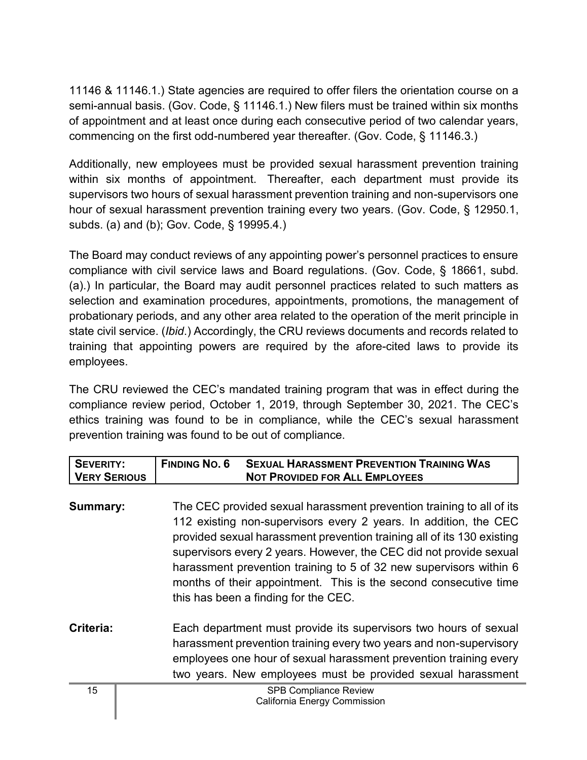11146 & 11146.1.) State agencies are required to offer filers the orientation course on a semi-annual basis. (Gov. Code, § 11146.1.) New filers must be trained within six months of appointment and at least once during each consecutive period of two calendar years, commencing on the first odd-numbered year thereafter. (Gov. Code, § 11146.3.)

Additionally, new employees must be provided sexual harassment prevention training within six months of appointment. Thereafter, each department must provide its supervisors two hours of sexual harassment prevention training and non-supervisors one hour of sexual harassment prevention training every two years. (Gov. Code, § 12950.1, subds. (a) and (b); Gov. Code, § 19995.4.)

The Board may conduct reviews of any appointing power's personnel practices to ensure compliance with civil service laws and Board regulations. (Gov. Code, § 18661, subd. (a).) In particular, the Board may audit personnel practices related to such matters as selection and examination procedures, appointments, promotions, the management of probationary periods, and any other area related to the operation of the merit principle in state civil service. (*Ibid*.) Accordingly, the CRU reviews documents and records related to training that appointing powers are required by the afore-cited laws to provide its employees.

The CRU reviewed the CEC's mandated training program that was in effect during the compliance review period, October 1, 2019, through September 30, 2021. The CEC's ethics training was found to be in compliance, while the CEC's sexual harassment prevention training was found to be out of compliance.

| <b>SEVERITY:</b><br><b>VERY SERIOUS</b> | <b>FINDING NO. 6</b><br><b>SEXUAL HARASSMENT PREVENTION TRAINING WAS</b><br><b>NOT PROVIDED FOR ALL EMPLOYEES</b>                                                                                                                                                                                                                                                                                                                                                          |
|-----------------------------------------|----------------------------------------------------------------------------------------------------------------------------------------------------------------------------------------------------------------------------------------------------------------------------------------------------------------------------------------------------------------------------------------------------------------------------------------------------------------------------|
| Summary:                                | The CEC provided sexual harassment prevention training to all of its<br>112 existing non-supervisors every 2 years. In addition, the CEC<br>provided sexual harassment prevention training all of its 130 existing<br>supervisors every 2 years. However, the CEC did not provide sexual<br>harassment prevention training to 5 of 32 new supervisors within 6<br>months of their appointment. This is the second consecutive time<br>this has been a finding for the CEC. |
| Criteria:                               | Each department must provide its supervisors two hours of sexual<br>harassment prevention training every two years and non-supervisory<br>employees one hour of sexual harassment prevention training every<br>two years. New employees must be provided sexual harassment                                                                                                                                                                                                 |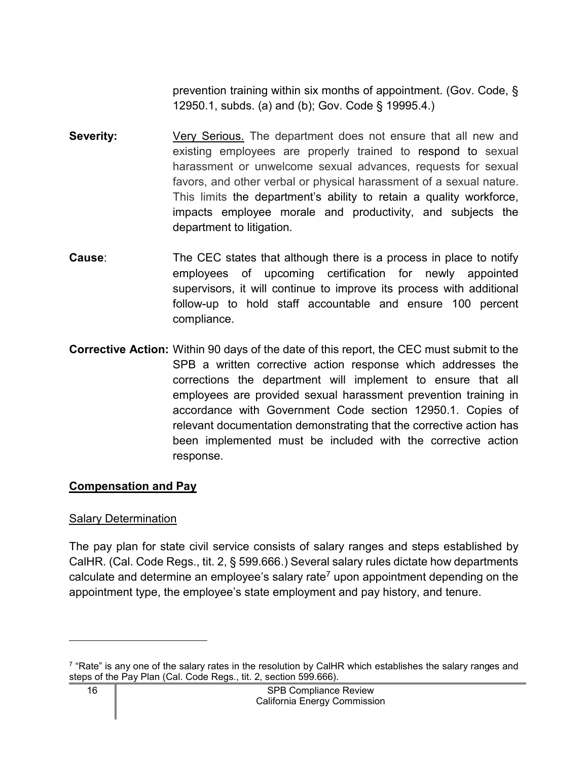prevention training within six months of appointment. (Gov. Code, § 12950.1, subds. (a) and (b); Gov. Code § 19995.4.)

- **Severity:** Very Serious. The department does not ensure that all new and existing employees are properly trained to respond to sexual harassment or unwelcome sexual advances, requests for sexual favors, and other verbal or physical harassment of a sexual nature. This limits the department's ability to retain a quality workforce, impacts employee morale and productivity, and subjects the department to litigation.
- **Cause:** The CEC states that although there is a process in place to notify employees of upcoming certification for newly appointed supervisors, it will continue to improve its process with additional follow-up to hold staff accountable and ensure 100 percent compliance.
- **Corrective Action:** Within 90 days of the date of this report, the CEC must submit to the SPB a written corrective action response which addresses the corrections the department will implement to ensure that all employees are provided sexual harassment prevention training in accordance with Government Code section 12950.1. Copies of relevant documentation demonstrating that the corrective action has been implemented must be included with the corrective action response.

#### <span id="page-17-0"></span>**Compensation and Pay**

#### Salary Determination

The pay plan for state civil service consists of salary ranges and steps established by CalHR. (Cal. Code Regs., tit. 2, § 599.666.) Several salary rules dictate how departments calculate and determine an employee's salary rate<sup>[7](#page-17-1)</sup> upon appointment depending on the appointment type, the employee's state employment and pay history, and tenure.

<span id="page-17-1"></span> $^7$  "Rate" is any one of the salary rates in the resolution by CalHR which establishes the salary ranges and steps of the Pay Plan (Cal. Code Regs., tit. 2, section 599.666).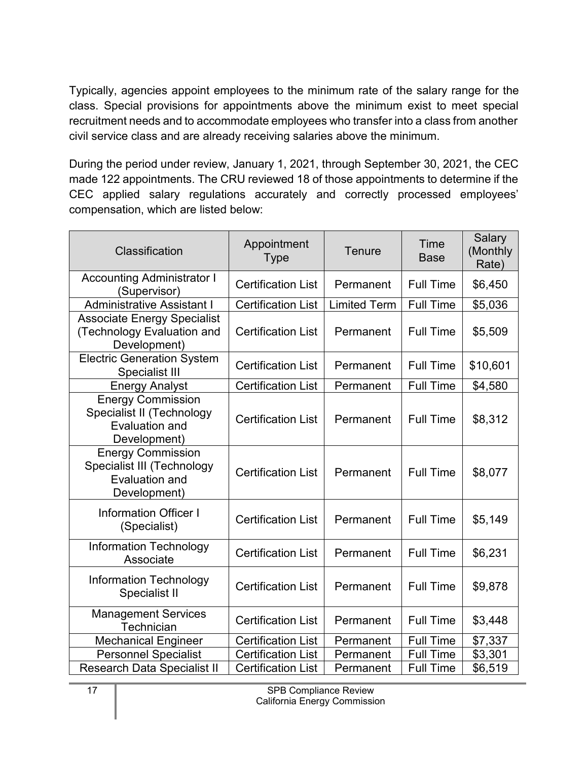Typically, agencies appoint employees to the minimum rate of the salary range for the class. Special provisions for appointments above the minimum exist to meet special recruitment needs and to accommodate employees who transfer into a class from another civil service class and are already receiving salaries above the minimum.

During the period under review, January 1, 2021, through September 30, 2021, the CEC made 122 appointments. The CRU reviewed 18 of those appointments to determine if the CEC applied salary regulations accurately and correctly processed employees' compensation, which are listed below:

| <b>Classification</b>                                                                           | Appointment<br><b>Type</b> | <b>Tenure</b>       | Time<br><b>Base</b> | Salary<br>(Monthly<br>Rate) |
|-------------------------------------------------------------------------------------------------|----------------------------|---------------------|---------------------|-----------------------------|
| <b>Accounting Administrator I</b><br>(Supervisor)                                               | <b>Certification List</b>  | Permanent           | <b>Full Time</b>    | \$6,450                     |
| <b>Administrative Assistant I</b>                                                               | <b>Certification List</b>  | <b>Limited Term</b> | <b>Full Time</b>    | \$5,036                     |
| <b>Associate Energy Specialist</b><br>(Technology Evaluation and<br>Development)                | <b>Certification List</b>  | Permanent           | <b>Full Time</b>    | \$5,509                     |
| <b>Electric Generation System</b><br>Specialist III                                             | <b>Certification List</b>  | Permanent           | <b>Full Time</b>    | \$10,601                    |
| <b>Energy Analyst</b>                                                                           | <b>Certification List</b>  | Permanent           | <b>Full Time</b>    | \$4,580                     |
| <b>Energy Commission</b><br>Specialist II (Technology<br><b>Evaluation and</b><br>Development)  | <b>Certification List</b>  | Permanent           | <b>Full Time</b>    | \$8,312                     |
| <b>Energy Commission</b><br>Specialist III (Technology<br><b>Evaluation and</b><br>Development) | <b>Certification List</b>  | Permanent           | <b>Full Time</b>    | \$8,077                     |
| <b>Information Officer I</b><br>(Specialist)                                                    | <b>Certification List</b>  | Permanent           | <b>Full Time</b>    | \$5,149                     |
| <b>Information Technology</b><br>Associate                                                      | <b>Certification List</b>  | Permanent           | <b>Full Time</b>    | \$6,231                     |
| <b>Information Technology</b><br>Specialist II                                                  | <b>Certification List</b>  | Permanent           | <b>Full Time</b>    | \$9,878                     |
| <b>Management Services</b><br>Technician                                                        | <b>Certification List</b>  | Permanent           | <b>Full Time</b>    | \$3,448                     |
| <b>Mechanical Engineer</b>                                                                      | <b>Certification List</b>  | Permanent           | <b>Full Time</b>    | \$7,337                     |
| <b>Personnel Specialist</b>                                                                     | <b>Certification List</b>  | Permanent           | <b>Full Time</b>    | \$3,301                     |
| Research Data Specialist II                                                                     | <b>Certification List</b>  | Permanent           | <b>Full Time</b>    | \$6,519                     |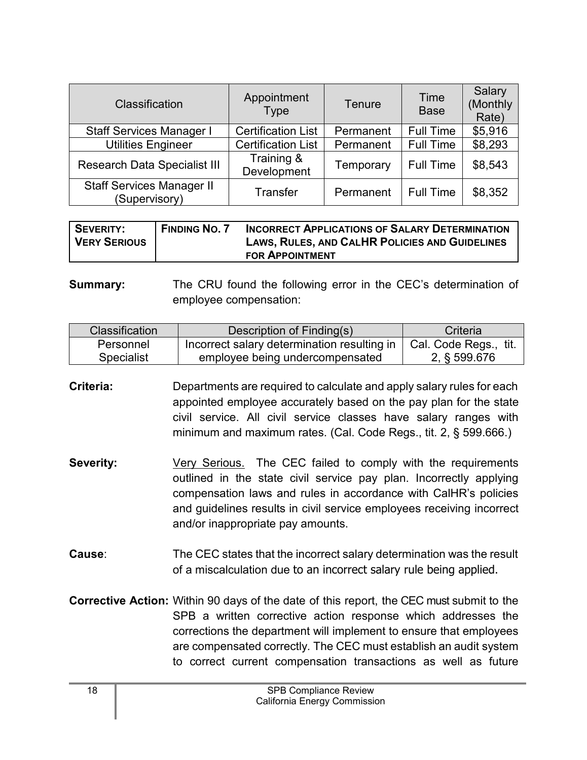| Classification                                    | Appointment<br><b>Type</b> | Tenure    | Time<br><b>Base</b> | Salary<br>(Monthly<br>Rate) |
|---------------------------------------------------|----------------------------|-----------|---------------------|-----------------------------|
| <b>Staff Services Manager I</b>                   | <b>Certification List</b>  | Permanent | <b>Full Time</b>    | \$5,916                     |
| <b>Utilities Engineer</b>                         | <b>Certification List</b>  | Permanent | <b>Full Time</b>    | \$8,293                     |
| <b>Research Data Specialist III</b>               | Training &<br>Development  | Temporary | <b>Full Time</b>    | \$8,543                     |
| <b>Staff Services Manager II</b><br>(Supervisory) | <b>Transfer</b>            | Permanent | <b>Full Time</b>    | \$8,352                     |

| I SEVERITY:<br><b>VERY SERIOUS</b> | <b>FINDING NO. 7</b> | <b>INCORRECT APPLICATIONS OF SALARY DETERMINATION</b><br><b>LAWS, RULES, AND CALHR POLICIES AND GUIDELINES</b> |
|------------------------------------|----------------------|----------------------------------------------------------------------------------------------------------------|
|                                    |                      | <b>FOR APPOINTMENT</b>                                                                                         |

**Summary:** The CRU found the following error in the CEC's determination of employee compensation:

| Classification    | Description of Finding(s)                   | Criteria              |
|-------------------|---------------------------------------------|-----------------------|
| Personnel         | Incorrect salary determination resulting in | Cal. Code Regs., tit. |
| <b>Specialist</b> | employee being undercompensated             | 2, § 599.676          |

**Criteria:** Departments are required to calculate and apply salary rules for each appointed employee accurately based on the pay plan for the state civil service. All civil service classes have salary ranges with minimum and maximum rates. (Cal. Code Regs., tit. 2, § 599.666.)

- **Severity:** Very Serious. The CEC failed to comply with the requirements outlined in the state civil service pay plan. Incorrectly applying compensation laws and rules in accordance with CalHR's policies and guidelines results in civil service employees receiving incorrect and/or inappropriate pay amounts.
- **Cause**: The CEC states that the incorrect salary determination was the result of a miscalculation due to an incorrect salary rule being applied.
- **Corrective Action:** Within 90 days of the date of this report, the CEC must submit to the SPB a written corrective action response which addresses the corrections the department will implement to ensure that employees are compensated correctly*.* The CEC must establish an audit system to correct current compensation transactions as well as future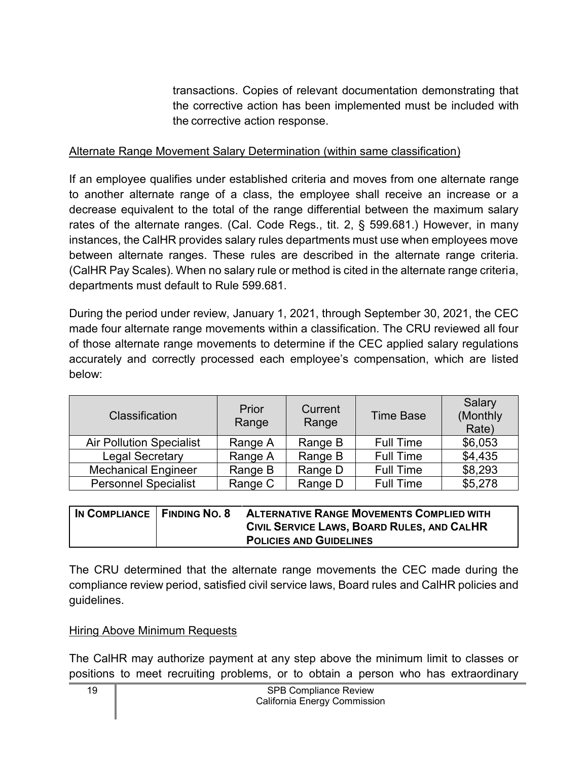transactions. Copies of relevant documentation demonstrating that the corrective action has been implemented must be included with the corrective action response.

#### Alternate Range Movement Salary Determination (within same classification)

If an employee qualifies under established criteria and moves from one alternate range to another alternate range of a class, the employee shall receive an increase or a decrease equivalent to the total of the range differential between the maximum salary rates of the alternate ranges. (Cal. Code Regs., tit. 2, § 599.681.) However, in many instances, the CalHR provides salary rules departments must use when employees move between alternate ranges. These rules are described in the alternate range criteria. (CalHR Pay Scales). When no salary rule or method is cited in the alternate range criteria, departments must default to Rule 599.681.

During the period under review, January 1, 2021, through September 30, 2021, the CEC made four alternate range movements within a classification. The CRU reviewed all four of those alternate range movements to determine if the CEC applied salary regulations accurately and correctly processed each employee's compensation, which are listed below:

| Classification                  | Prior<br>Range | Current<br>Range | <b>Time Base</b> | Salary<br>(Monthly<br>Rate) |
|---------------------------------|----------------|------------------|------------------|-----------------------------|
| <b>Air Pollution Specialist</b> | Range A        | Range B          | <b>Full Time</b> | \$6,053                     |
| <b>Legal Secretary</b>          | Range A        | Range B          | <b>Full Time</b> | \$4,435                     |
| <b>Mechanical Engineer</b>      | Range B        | Range D          | <b>Full Time</b> | \$8,293                     |
| <b>Personnel Specialist</b>     | Range C        | Range D          | <b>Full Time</b> | \$5,278                     |

| IN COMPLIANCE   FINDING NO. 8 | <b>ALTERNATIVE RANGE MOVEMENTS COMPLIED WITH</b> |
|-------------------------------|--------------------------------------------------|
|                               | CIVIL SERVICE LAWS, BOARD RULES, AND CALHR       |
|                               | <b>POLICIES AND GUIDELINES</b>                   |

The CRU determined that the alternate range movements the CEC made during the compliance review period, satisfied civil service laws, Board rules and CalHR policies and guidelines.

#### **Hiring Above Minimum Requests**

The CalHR may authorize payment at any step above the minimum limit to classes or positions to meet recruiting problems, or to obtain a person who has extraordinary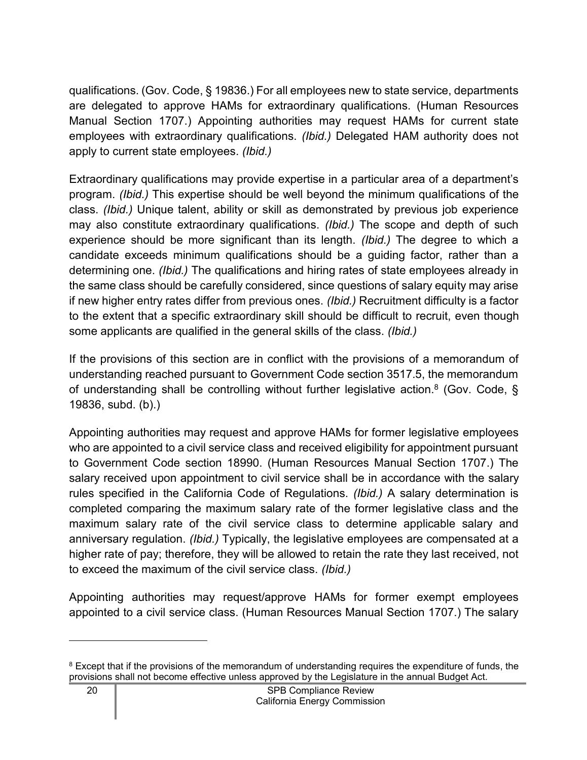qualifications. (Gov. Code, § 19836.) For all employees new to state service, departments are delegated to approve HAMs for extraordinary qualifications. (Human Resources Manual Section 1707.) Appointing authorities may request HAMs for current state employees with extraordinary qualifications. *(Ibid.)* Delegated HAM authority does not apply to current state employees. *(Ibid.)*

Extraordinary qualifications may provide expertise in a particular area of a department's program. *(Ibid.)* This expertise should be well beyond the minimum qualifications of the class. *(Ibid.)* Unique talent, ability or skill as demonstrated by previous job experience may also constitute extraordinary qualifications. *(Ibid.)* The scope and depth of such experience should be more significant than its length. *(Ibid.)* The degree to which a candidate exceeds minimum qualifications should be a guiding factor, rather than a determining one. *(Ibid.)* The qualifications and hiring rates of state employees already in the same class should be carefully considered, since questions of salary equity may arise if new higher entry rates differ from previous ones. *(Ibid.)* Recruitment difficulty is a factor to the extent that a specific extraordinary skill should be difficult to recruit, even though some applicants are qualified in the general skills of the class. *(Ibid.)*

If the provisions of this section are in conflict with the provisions of a memorandum of understanding reached pursuant to Government Code section 3517.5, the memorandum of understanding shall be controlling without further legislative action.<sup>[8](#page-21-0)</sup> (Gov. Code, § 19836, subd. (b).)

Appointing authorities may request and approve HAMs for former legislative employees who are appointed to a civil service class and received eligibility for appointment pursuant to Government Code section 18990. (Human Resources Manual Section 1707.) The salary received upon appointment to civil service shall be in accordance with the salary rules specified in the California Code of Regulations. *(Ibid.)* A salary determination is completed comparing the maximum salary rate of the former legislative class and the maximum salary rate of the civil service class to determine applicable salary and anniversary regulation. *(Ibid.)* Typically, the legislative employees are compensated at a higher rate of pay; therefore, they will be allowed to retain the rate they last received, not to exceed the maximum of the civil service class. *(Ibid.)*

Appointing authorities may request/approve HAMs for former exempt employees appointed to a civil service class. (Human Resources Manual Section 1707.) The salary

<span id="page-21-0"></span><sup>&</sup>lt;sup>8</sup> Except that if the provisions of the memorandum of understanding requires the expenditure of funds, the provisions shall not become effective unless approved by the Legislature in the annual Budget Act.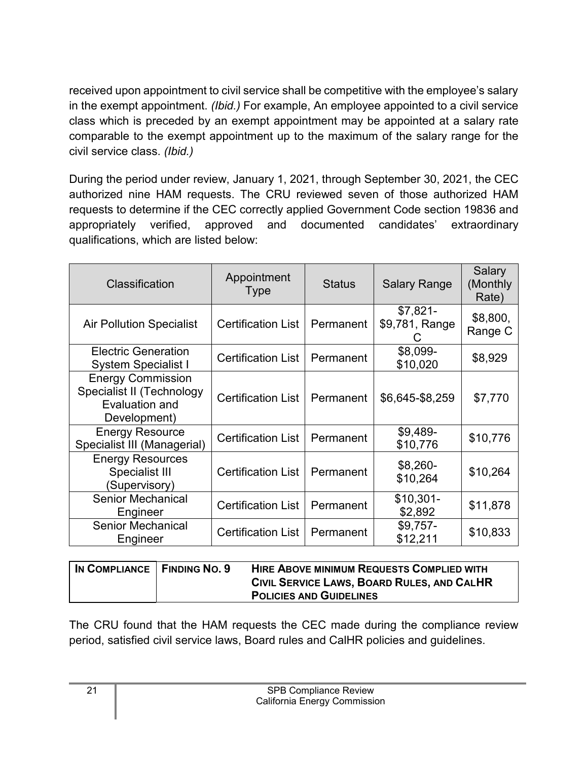received upon appointment to civil service shall be competitive with the employee's salary in the exempt appointment. *(Ibid.)* For example, An employee appointed to a civil service class which is preceded by an exempt appointment may be appointed at a salary rate comparable to the exempt appointment up to the maximum of the salary range for the civil service class. *(Ibid.)*

During the period under review, January 1, 2021, through September 30, 2021, the CEC authorized nine HAM requests. The CRU reviewed seven of those authorized HAM requests to determine if the CEC correctly applied Government Code section 19836 and appropriately verified, approved and documented candidates' extraordinary qualifications, which are listed below:

| Classification                                                                          | Appointment<br><b>Type</b> | <b>Status</b> | <b>Salary Range</b>         | Salary<br>(Monthly<br>Rate) |
|-----------------------------------------------------------------------------------------|----------------------------|---------------|-----------------------------|-----------------------------|
| <b>Air Pollution Specialist</b>                                                         | <b>Certification List</b>  | Permanent     | $$7,821-$<br>\$9,781, Range | \$8,800,<br>Range C         |
| <b>Electric Generation</b><br><b>System Specialist I</b>                                | <b>Certification List</b>  | Permanent     | \$8,099-<br>\$10,020        | \$8,929                     |
| <b>Energy Commission</b><br>Specialist II (Technology<br>Evaluation and<br>Development) | <b>Certification List</b>  | Permanent     | \$6,645-\$8,259             | \$7,770                     |
| <b>Energy Resource</b><br>Specialist III (Managerial)                                   | <b>Certification List</b>  | Permanent     | $$9,489-$<br>\$10,776       | \$10,776                    |
| <b>Energy Resources</b><br><b>Specialist III</b><br>(Supervisory)                       | <b>Certification List</b>  | Permanent     | $$8,260-$<br>\$10,264       | \$10,264                    |
| <b>Senior Mechanical</b><br>Engineer                                                    | <b>Certification List</b>  | Permanent     | $$10,301-$<br>\$2,892       | \$11,878                    |
| <b>Senior Mechanical</b><br>Engineer                                                    | <b>Certification List</b>  | Permanent     | $$9,757-$<br>\$12,211       | \$10,833                    |

| IN COMPLIANCE   FINDING NO. 9 | <b>HIRE ABOVE MINIMUM REQUESTS COMPLIED WITH</b><br>CIVIL SERVICE LAWS, BOARD RULES, AND CALHR |
|-------------------------------|------------------------------------------------------------------------------------------------|
|                               | <b>POLICIES AND GUIDELINES</b>                                                                 |

The CRU found that the HAM requests the CEC made during the compliance review period, satisfied civil service laws, Board rules and CalHR policies and guidelines.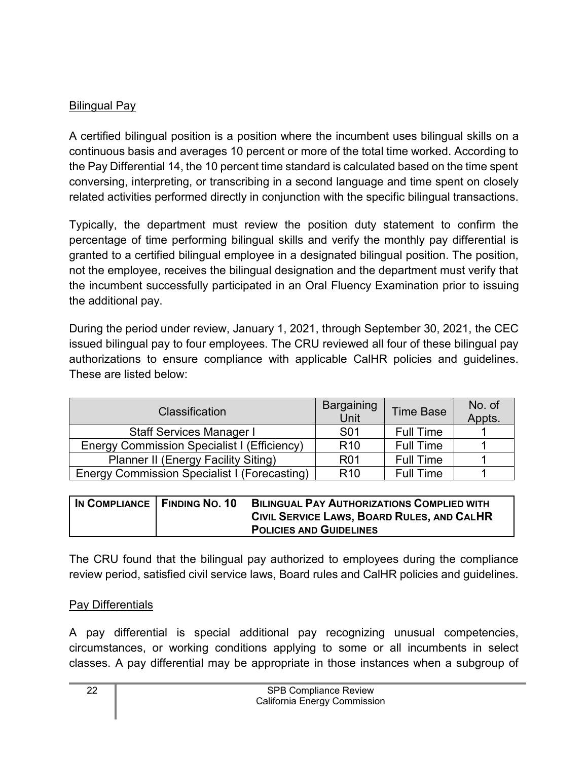## Bilingual Pay

A certified bilingual position is a position where the incumbent uses bilingual skills on a continuous basis and averages 10 percent or more of the total time worked. According to the Pay Differential 14, the 10 percent time standard is calculated based on the time spent conversing, interpreting, or transcribing in a second language and time spent on closely related activities performed directly in conjunction with the specific bilingual transactions.

Typically, the department must review the position duty statement to confirm the percentage of time performing bilingual skills and verify the monthly pay differential is granted to a certified bilingual employee in a designated bilingual position. The position, not the employee, receives the bilingual designation and the department must verify that the incumbent successfully participated in an Oral Fluency Examination prior to issuing the additional pay.

During the period under review, January 1, 2021, through September 30, 2021, the CEC issued bilingual pay to four employees. The CRU reviewed all four of these bilingual pay authorizations to ensure compliance with applicable CalHR policies and guidelines. These are listed below:

| <b>Classification</b>                               | Bargaining<br>Unit | <b>Time Base</b> | No. of<br>Appts. |
|-----------------------------------------------------|--------------------|------------------|------------------|
| <b>Staff Services Manager I</b>                     | S <sub>0</sub> 1   | <b>Full Time</b> |                  |
| Energy Commission Specialist I (Efficiency)         | R <sub>10</sub>    | <b>Full Time</b> |                  |
| <b>Planner II (Energy Facility Siting)</b>          | <b>R01</b>         | <b>Full Time</b> |                  |
| <b>Energy Commission Specialist I (Forecasting)</b> | R <sub>10</sub>    | <b>Full Time</b> |                  |

| IN COMPLIANCE   FINDING NO. 10 | <b>BILINGUAL PAY AUTHORIZATIONS COMPLIED WITH</b> |
|--------------------------------|---------------------------------------------------|
|                                | CIVIL SERVICE LAWS, BOARD RULES, AND CALHR        |
|                                | <b>POLICIES AND GUIDELINES</b>                    |

The CRU found that the bilingual pay authorized to employees during the compliance review period, satisfied civil service laws, Board rules and CalHR policies and guidelines.

## Pay Differentials

A pay differential is special additional pay recognizing unusual competencies, circumstances, or working conditions applying to some or all incumbents in select classes. A pay differential may be appropriate in those instances when a subgroup of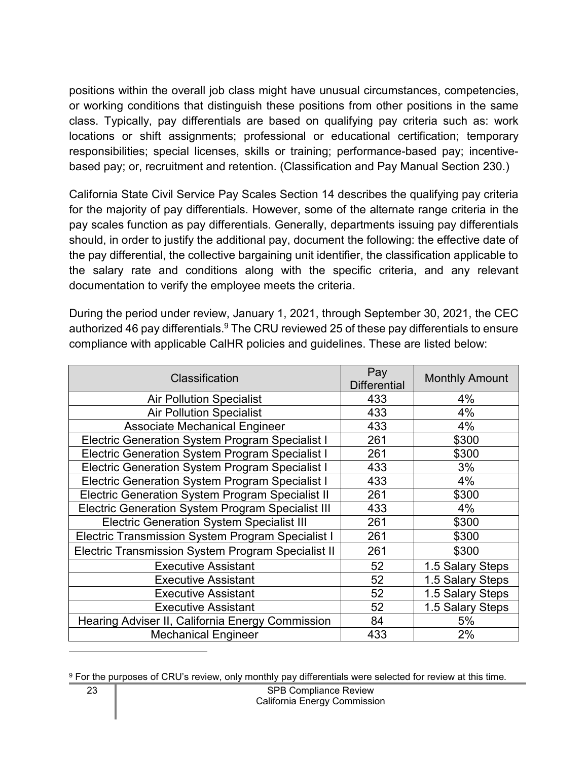positions within the overall job class might have unusual circumstances, competencies, or working conditions that distinguish these positions from other positions in the same class. Typically, pay differentials are based on qualifying pay criteria such as: work locations or shift assignments; professional or educational certification; temporary responsibilities; special licenses, skills or training; performance-based pay; incentivebased pay; or, recruitment and retention. (Classification and Pay Manual Section 230.)

California State Civil Service Pay Scales Section 14 describes the qualifying pay criteria for the majority of pay differentials. However, some of the alternate range criteria in the pay scales function as pay differentials. Generally, departments issuing pay differentials should, in order to justify the additional pay, document the following: the effective date of the pay differential, the collective bargaining unit identifier, the classification applicable to the salary rate and conditions along with the specific criteria, and any relevant documentation to verify the employee meets the criteria.

During the period under review, January 1, 2021, through September 30, 2021, the CEC authorized 46 pay differentials.<sup>[9](#page-24-0)</sup> The CRU reviewed 25 of these pay differentials to ensure compliance with applicable CalHR policies and guidelines. These are listed below:

| Classification                                            | Pay<br><b>Differential</b> | <b>Monthly Amount</b> |
|-----------------------------------------------------------|----------------------------|-----------------------|
| <b>Air Pollution Specialist</b>                           | 433                        | 4%                    |
| <b>Air Pollution Specialist</b>                           | 433                        | 4%                    |
| <b>Associate Mechanical Engineer</b>                      | 433                        | 4%                    |
| Electric Generation System Program Specialist I           | 261                        | \$300                 |
| <b>Electric Generation System Program Specialist I</b>    | 261                        | \$300                 |
| Electric Generation System Program Specialist I           | 433                        | 3%                    |
| <b>Electric Generation System Program Specialist I</b>    | 433                        | 4%                    |
| <b>Electric Generation System Program Specialist II</b>   | 261                        | \$300                 |
| <b>Electric Generation System Program Specialist III</b>  | 433                        | 4%                    |
| <b>Electric Generation System Specialist III</b>          | 261                        | \$300                 |
| Electric Transmission System Program Specialist I         | 261                        | \$300                 |
| <b>Electric Transmission System Program Specialist II</b> | 261                        | \$300                 |
| <b>Executive Assistant</b>                                | 52                         | 1.5 Salary Steps      |
| <b>Executive Assistant</b>                                | 52                         | 1.5 Salary Steps      |
| <b>Executive Assistant</b>                                | 52                         | 1.5 Salary Steps      |
| <b>Executive Assistant</b>                                | 52                         | 1.5 Salary Steps      |
| Hearing Adviser II, California Energy Commission          | 84                         | 5%                    |
| <b>Mechanical Engineer</b>                                | 433                        | 2%                    |

<span id="page-24-0"></span><sup>9</sup> For the purposes of CRU's review, only monthly pay differentials were selected for review at this time.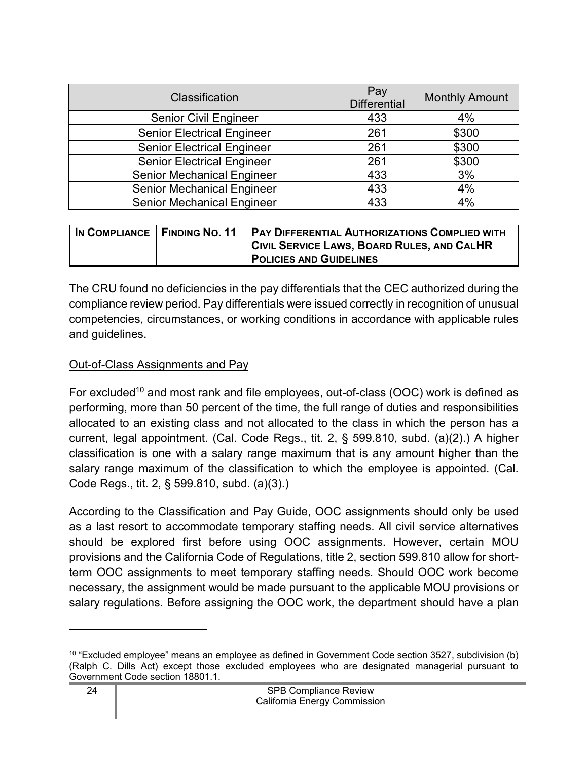| Classification                    | Pay<br><b>Differential</b> | <b>Monthly Amount</b> |
|-----------------------------------|----------------------------|-----------------------|
| <b>Senior Civil Engineer</b>      | 433                        | 4%                    |
| <b>Senior Electrical Engineer</b> | 261                        | \$300                 |
| <b>Senior Electrical Engineer</b> | 261                        | \$300                 |
| <b>Senior Electrical Engineer</b> | 261                        | \$300                 |
| <b>Senior Mechanical Engineer</b> | 433                        | 3%                    |
| <b>Senior Mechanical Engineer</b> | 433                        | 4%                    |
| <b>Senior Mechanical Engineer</b> | 433                        | 4%                    |

| IN COMPLIANCE   FINDING NO. 11 | PAY DIFFERENTIAL AUTHORIZATIONS COMPLIED WITH |
|--------------------------------|-----------------------------------------------|
|                                | CIVIL SERVICE LAWS, BOARD RULES, AND CALHR    |
|                                | <b>POLICIES AND GUIDELINES</b>                |

The CRU found no deficiencies in the pay differentials that the CEC authorized during the compliance review period. Pay differentials were issued correctly in recognition of unusual competencies, circumstances, or working conditions in accordance with applicable rules and guidelines.

#### Out-of-Class Assignments and Pay

For excluded<sup>[10](#page-25-0)</sup> and most rank and file employees, out-of-class (OOC) work is defined as performing, more than 50 percent of the time, the full range of duties and responsibilities allocated to an existing class and not allocated to the class in which the person has a current, legal appointment. (Cal. Code Regs., tit. 2, § 599.810, subd. (a)(2).) A higher classification is one with a salary range maximum that is any amount higher than the salary range maximum of the classification to which the employee is appointed. (Cal. Code Regs., tit. 2, § 599.810, subd. (a)(3).)

According to the Classification and Pay Guide, OOC assignments should only be used as a last resort to accommodate temporary staffing needs. All civil service alternatives should be explored first before using OOC assignments. However, certain MOU provisions and the California Code of Regulations, title 2, section 599.810 allow for shortterm OOC assignments to meet temporary staffing needs. Should OOC work become necessary, the assignment would be made pursuant to the applicable MOU provisions or salary regulations. Before assigning the OOC work, the department should have a plan

<span id="page-25-0"></span> $10$  "Excluded employee" means an employee as defined in Government Code section 3527, subdivision (b) (Ralph C. Dills Act) except those excluded employees who are designated managerial pursuant to Government Code section 18801.1.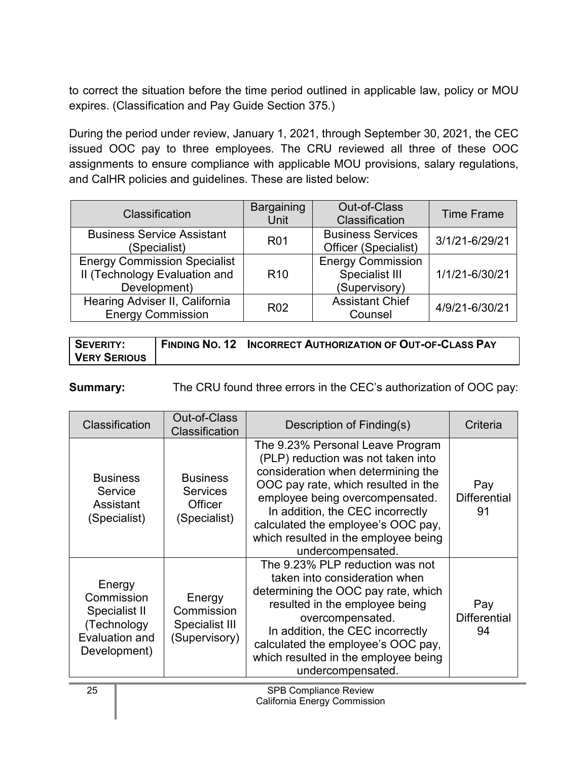to correct the situation before the time period outlined in applicable law, policy or MOU expires. (Classification and Pay Guide Section 375.)

During the period under review, January 1, 2021, through September 30, 2021, the CEC issued OOC pay to three employees. The CRU reviewed all three of these OOC assignments to ensure compliance with applicable MOU provisions, salary regulations, and CalHR policies and guidelines. These are listed below:

| Classification                                                                       | <b>Bargaining</b><br><b>Unit</b> | <b>Out-of-Class</b><br>Classification                              | <b>Time Frame</b> |
|--------------------------------------------------------------------------------------|----------------------------------|--------------------------------------------------------------------|-------------------|
| <b>Business Service Assistant</b><br>(Specialist)                                    | <b>R01</b>                       | <b>Business Services</b><br>Officer (Specialist)                   | 3/1/21-6/29/21    |
| <b>Energy Commission Specialist</b><br>II (Technology Evaluation and<br>Development) | R <sub>10</sub>                  | <b>Energy Commission</b><br><b>Specialist III</b><br>(Supervisory) | 1/1/21-6/30/21    |
| Hearing Adviser II, California<br><b>Energy Commission</b>                           | R <sub>02</sub>                  | <b>Assistant Chief</b><br>Counsel                                  | 4/9/21-6/30/21    |

| <b>SEVERITY:</b> | FINDING NO. 12 INCORRECT AUTHORIZATION OF OUT-OF-CLASS PAY |
|------------------|------------------------------------------------------------|
| VERY SERIOUS     |                                                            |

**Summary:** The CRU found three errors in the CEC's authorization of OOC pay:

| Classification                                                                         | Out-of-Class<br>Classification                                       | Description of Finding(s)                                                                                                                                                                                                                                                                                                     | Criteria                         |
|----------------------------------------------------------------------------------------|----------------------------------------------------------------------|-------------------------------------------------------------------------------------------------------------------------------------------------------------------------------------------------------------------------------------------------------------------------------------------------------------------------------|----------------------------------|
| <b>Business</b><br>Service<br>Assistant<br>(Specialist)                                | <b>Business</b><br><b>Services</b><br><b>Officer</b><br>(Specialist) | The 9.23% Personal Leave Program<br>(PLP) reduction was not taken into<br>consideration when determining the<br>OOC pay rate, which resulted in the<br>employee being overcompensated.<br>In addition, the CEC incorrectly<br>calculated the employee's OOC pay,<br>which resulted in the employee being<br>undercompensated. | Pay<br><b>Differential</b><br>91 |
| Energy<br>Commission<br>Specialist II<br>(Technology<br>Evaluation and<br>Development) | Energy<br>Commission<br>Specialist III<br>(Supervisory)              | The 9.23% PLP reduction was not<br>taken into consideration when<br>determining the OOC pay rate, which<br>resulted in the employee being<br>overcompensated.<br>In addition, the CEC incorrectly<br>calculated the employee's OOC pay,<br>which resulted in the employee being<br>undercompensated.                          | Pay<br><b>Differential</b><br>94 |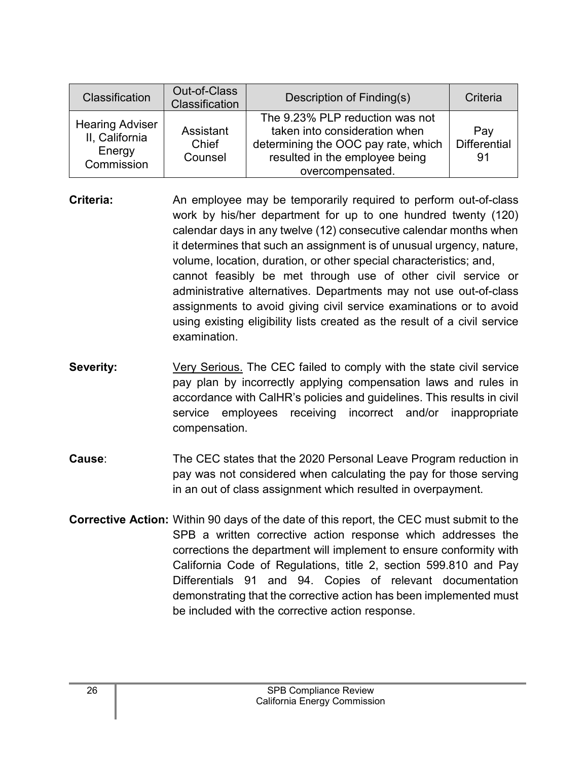| Classification                                                   | Out-of-Class<br>Classification | Description of Finding(s)                                                                                                                                     | Criteria                         |
|------------------------------------------------------------------|--------------------------------|---------------------------------------------------------------------------------------------------------------------------------------------------------------|----------------------------------|
| <b>Hearing Adviser</b><br>II, California<br>Energy<br>Commission | Assistant<br>Chief<br>Counsel  | The 9.23% PLP reduction was not<br>taken into consideration when<br>determining the OOC pay rate, which<br>resulted in the employee being<br>overcompensated. | Pay<br><b>Differential</b><br>91 |

- **Criteria:** An employee may be temporarily required to perform out-of-class work by his/her department for up to one hundred twenty (120) calendar days in any twelve (12) consecutive calendar months when it determines that such an assignment is of unusual urgency, nature, volume, location, duration, or other special characteristics; and, cannot feasibly be met through use of other civil service or administrative alternatives. Departments may not use out-of-class assignments to avoid giving civil service examinations or to avoid using existing eligibility lists created as the result of a civil service examination.
- **Severity:** Very Serious. The CEC failed to comply with the state civil service pay plan by incorrectly applying compensation laws and rules in accordance with CalHR's policies and guidelines. This results in civil service employees receiving incorrect and/or inappropriate compensation.
- **Cause**: The CEC states that the 2020 Personal Leave Program reduction in pay was not considered when calculating the pay for those serving in an out of class assignment which resulted in overpayment.
- **Corrective Action:** Within 90 days of the date of this report, the CEC must submit to the SPB a written corrective action response which addresses the corrections the department will implement to ensure conformity with California Code of Regulations, title 2, section 599.810 and Pay Differentials 91 and 94. Copies of relevant documentation demonstrating that the corrective action has been implemented must be included with the corrective action response.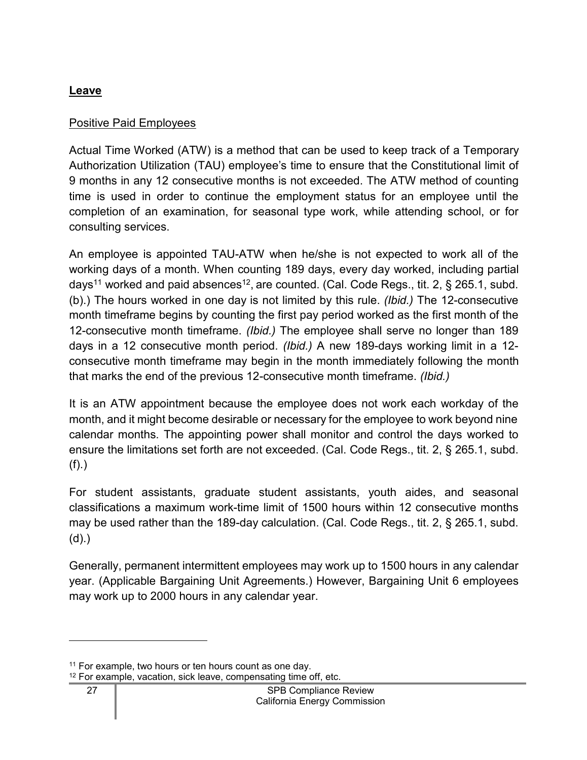## <span id="page-28-0"></span>**Leave**

## Positive Paid Employees

Actual Time Worked (ATW) is a method that can be used to keep track of a Temporary Authorization Utilization (TAU) employee's time to ensure that the Constitutional limit of 9 months in any 12 consecutive months is not exceeded. The ATW method of counting time is used in order to continue the employment status for an employee until the completion of an examination, for seasonal type work, while attending school, or for consulting services.

An employee is appointed TAU-ATW when he/she is not expected to work all of the working days of a month. When counting 189 days, every day worked, including partial days<sup>[11](#page-28-1)</sup> worked and paid absences<sup>[12](#page-28-2)</sup>, are counted. (Cal. Code Regs., tit. 2, § 265.1, subd. (b).) The hours worked in one day is not limited by this rule. *(Ibid.)* The 12-consecutive month timeframe begins by counting the first pay period worked as the first month of the 12-consecutive month timeframe. *(Ibid.)* The employee shall serve no longer than 189 days in a 12 consecutive month period. *(Ibid.)* A new 189-days working limit in a 12 consecutive month timeframe may begin in the month immediately following the month that marks the end of the previous 12-consecutive month timeframe. *(Ibid.)*

It is an ATW appointment because the employee does not work each workday of the month, and it might become desirable or necessary for the employee to work beyond nine calendar months. The appointing power shall monitor and control the days worked to ensure the limitations set forth are not exceeded. (Cal. Code Regs., tit. 2, § 265.1, subd. (f).)

For student assistants, graduate student assistants, youth aides, and seasonal classifications a maximum work-time limit of 1500 hours within 12 consecutive months may be used rather than the 189-day calculation. (Cal. Code Regs., tit. 2, § 265.1, subd. (d).)

Generally, permanent intermittent employees may work up to 1500 hours in any calendar year. (Applicable Bargaining Unit Agreements.) However, Bargaining Unit 6 employees may work up to 2000 hours in any calendar year.

<span id="page-28-2"></span><span id="page-28-1"></span><sup>&</sup>lt;sup>11</sup> For example, two hours or ten hours count as one day.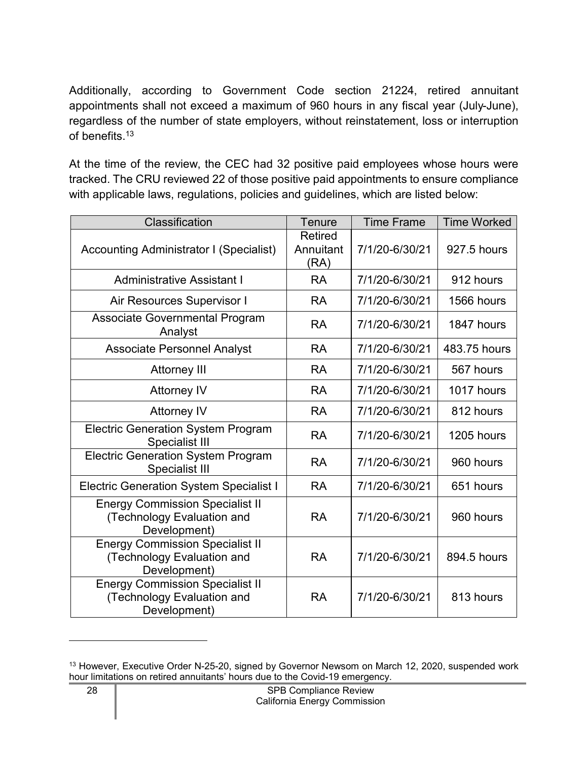Additionally, according to Government Code section 21224, retired annuitant appointments shall not exceed a maximum of 960 hours in any fiscal year (July-June), regardless of the number of state employers, without reinstatement, loss or interruption of benefits.[13](#page-29-0)

At the time of the review, the CEC had 32 positive paid employees whose hours were tracked. The CRU reviewed 22 of those positive paid appointments to ensure compliance with applicable laws, regulations, policies and guidelines, which are listed below:

| Classification                                                                       | <b>Tenure</b>                       | <b>Time Frame</b> | <b>Time Worked</b> |
|--------------------------------------------------------------------------------------|-------------------------------------|-------------------|--------------------|
| <b>Accounting Administrator I (Specialist)</b>                                       | <b>Retired</b><br>Annuitant<br>(RA) | 7/1/20-6/30/21    | 927.5 hours        |
| <b>Administrative Assistant I</b>                                                    | <b>RA</b>                           | 7/1/20-6/30/21    | 912 hours          |
| Air Resources Supervisor I                                                           | <b>RA</b>                           | 7/1/20-6/30/21    | 1566 hours         |
| Associate Governmental Program<br>Analyst                                            | <b>RA</b>                           | 7/1/20-6/30/21    | 1847 hours         |
| <b>Associate Personnel Analyst</b>                                                   | <b>RA</b>                           | 7/1/20-6/30/21    | 483.75 hours       |
| <b>Attorney III</b>                                                                  | <b>RA</b>                           | 7/1/20-6/30/21    | 567 hours          |
| <b>Attorney IV</b>                                                                   | <b>RA</b>                           | 7/1/20-6/30/21    | 1017 hours         |
| <b>Attorney IV</b>                                                                   | <b>RA</b>                           | 7/1/20-6/30/21    | 812 hours          |
| <b>Electric Generation System Program</b><br><b>Specialist III</b>                   | <b>RA</b>                           | 7/1/20-6/30/21    | 1205 hours         |
| <b>Electric Generation System Program</b><br><b>Specialist III</b>                   | <b>RA</b>                           | 7/1/20-6/30/21    | 960 hours          |
| <b>Electric Generation System Specialist I</b>                                       | <b>RA</b>                           | 7/1/20-6/30/21    | 651 hours          |
| <b>Energy Commission Specialist II</b><br>(Technology Evaluation and<br>Development) | <b>RA</b>                           | 7/1/20-6/30/21    | 960 hours          |
| <b>Energy Commission Specialist II</b><br>(Technology Evaluation and<br>Development) | <b>RA</b>                           | 7/1/20-6/30/21    | 894.5 hours        |
| <b>Energy Commission Specialist II</b><br>(Technology Evaluation and<br>Development) | <b>RA</b>                           | 7/1/20-6/30/21    | 813 hours          |

<span id="page-29-0"></span><sup>&</sup>lt;sup>13</sup> However, Executive Order N-25-20, signed by Governor Newsom on March 12, 2020, suspended work hour limitations on retired annuitants' hours due to the Covid-19 emergency.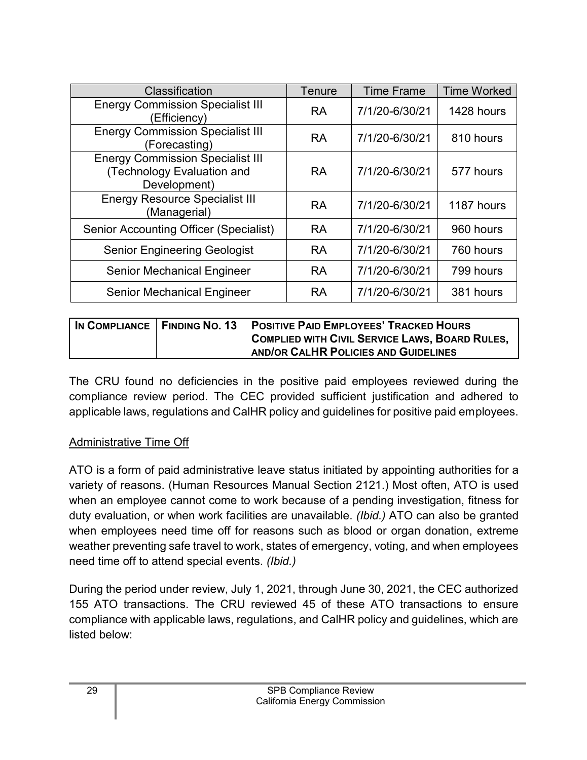| Classification                                                                        | Tenure    | <b>Time Frame</b> | <b>Time Worked</b> |
|---------------------------------------------------------------------------------------|-----------|-------------------|--------------------|
| <b>Energy Commission Specialist III</b><br>Efficiency)                                | <b>RA</b> | 7/1/20-6/30/21    | 1428 hours         |
| <b>Energy Commission Specialist III</b><br>(Forecasting)                              | <b>RA</b> | 7/1/20-6/30/21    | 810 hours          |
| <b>Energy Commission Specialist III</b><br>(Technology Evaluation and<br>Development) | <b>RA</b> | 7/1/20-6/30/21    | 577 hours          |
| <b>Energy Resource Specialist III</b><br>(Managerial)                                 | <b>RA</b> | 7/1/20-6/30/21    | 1187 hours         |
| <b>Senior Accounting Officer (Specialist)</b>                                         | <b>RA</b> | 7/1/20-6/30/21    | 960 hours          |
| <b>Senior Engineering Geologist</b>                                                   | <b>RA</b> | 7/1/20-6/30/21    | 760 hours          |
| <b>Senior Mechanical Engineer</b>                                                     | <b>RA</b> | 7/1/20-6/30/21    | 799 hours          |
| <b>Senior Mechanical Engineer</b>                                                     | <b>RA</b> | 7/1/20-6/30/21    | 381 hours          |

|  | IN COMPLIANCE   FINDING NO. 13 POSITIVE PAID EMPLOYEES' TRACKED HOURS |
|--|-----------------------------------------------------------------------|
|  | <b>COMPLIED WITH CIVIL SERVICE LAWS, BOARD RULES,</b>                 |
|  | AND/OR CALHR POLICIES AND GUIDELINES                                  |

The CRU found no deficiencies in the positive paid employees reviewed during the compliance review period. The CEC provided sufficient justification and adhered to applicable laws, regulations and CalHR policy and guidelines for positive paid employees.

## Administrative Time Off

ATO is a form of paid administrative leave status initiated by appointing authorities for a variety of reasons. (Human Resources Manual Section 2121.) Most often, ATO is used when an employee cannot come to work because of a pending investigation, fitness for duty evaluation, or when work facilities are unavailable. *(Ibid.)* ATO can also be granted when employees need time off for reasons such as blood or organ donation, extreme weather preventing safe travel to work, states of emergency, voting, and when employees need time off to attend special events. *(Ibid.)* 

During the period under review, July 1, 2021, through June 30, 2021, the CEC authorized 155 ATO transactions. The CRU reviewed 45 of these ATO transactions to ensure compliance with applicable laws, regulations, and CalHR policy and guidelines, which are listed below: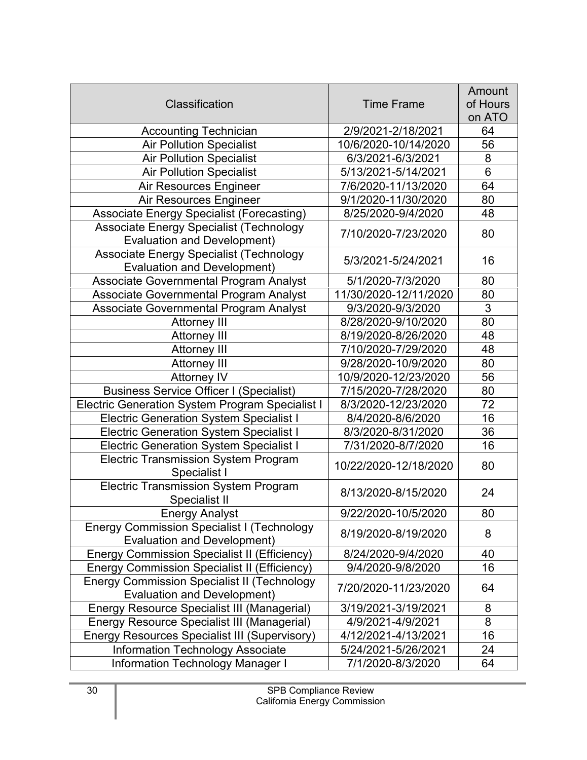|                                                              |                       | Amount          |
|--------------------------------------------------------------|-----------------------|-----------------|
| Classification                                               | <b>Time Frame</b>     | of Hours        |
|                                                              |                       | on ATO          |
| <b>Accounting Technician</b>                                 | 2/9/2021-2/18/2021    | 64              |
| <b>Air Pollution Specialist</b>                              | 10/6/2020-10/14/2020  | 56              |
| <b>Air Pollution Specialist</b>                              | 6/3/2021-6/3/2021     | 8               |
| <b>Air Pollution Specialist</b>                              | 5/13/2021-5/14/2021   | 6               |
| Air Resources Engineer                                       | 7/6/2020-11/13/2020   | 64              |
| Air Resources Engineer                                       | 9/1/2020-11/30/2020   | 80              |
| <b>Associate Energy Specialist (Forecasting)</b>             | 8/25/2020-9/4/2020    | 48              |
| Associate Energy Specialist (Technology                      |                       |                 |
| <b>Evaluation and Development)</b>                           | 7/10/2020-7/23/2020   | 80              |
| Associate Energy Specialist (Technology                      |                       |                 |
| <b>Evaluation and Development)</b>                           | 5/3/2021-5/24/2021    | 16              |
| Associate Governmental Program Analyst                       | 5/1/2020-7/3/2020     | 80              |
| Associate Governmental Program Analyst                       | 11/30/2020-12/11/2020 | 80              |
| Associate Governmental Program Analyst                       | 9/3/2020-9/3/2020     | 3               |
| <b>Attorney III</b>                                          | 8/28/2020-9/10/2020   | 80              |
| <b>Attorney III</b>                                          | 8/19/2020-8/26/2020   | 48              |
| <b>Attorney III</b>                                          | 7/10/2020-7/29/2020   | 48              |
| <b>Attorney III</b>                                          | 9/28/2020-10/9/2020   | 80              |
| <b>Attorney IV</b>                                           | 10/9/2020-12/23/2020  | 56              |
| <b>Business Service Officer I (Specialist)</b>               | 7/15/2020-7/28/2020   | 80              |
| <b>Electric Generation System Program Specialist I</b>       | 8/3/2020-12/23/2020   | $\overline{72}$ |
| <b>Electric Generation System Specialist I</b>               | 8/4/2020-8/6/2020     | 16              |
| <b>Electric Generation System Specialist I</b>               | 8/3/2020-8/31/2020    | 36              |
| <b>Electric Generation System Specialist I</b>               | 7/31/2020-8/7/2020    | 16              |
| <b>Electric Transmission System Program</b><br>Specialist I  | 10/22/2020-12/18/2020 | 80              |
| <b>Electric Transmission System Program</b><br>Specialist II | 8/13/2020-8/15/2020   | 24              |
| <b>Energy Analyst</b>                                        | 9/22/2020-10/5/2020   | 80              |
| <b>Energy Commission Specialist I (Technology</b>            |                       |                 |
| Evaluation and Development)                                  | 8/19/2020-8/19/2020   | 8               |
| <b>Energy Commission Specialist II (Efficiency)</b>          | 8/24/2020-9/4/2020    | 40              |
| <b>Energy Commission Specialist II (Efficiency)</b>          | 9/4/2020-9/8/2020     | 16              |
| <b>Energy Commission Specialist II (Technology</b>           |                       |                 |
| <b>Evaluation and Development)</b>                           | 7/20/2020-11/23/2020  | 64              |
| <b>Energy Resource Specialist III (Managerial)</b>           | 3/19/2021-3/19/2021   | 8               |
| <b>Energy Resource Specialist III (Managerial)</b>           | 4/9/2021-4/9/2021     | 8               |
| <b>Energy Resources Specialist III (Supervisory)</b>         | 4/12/2021-4/13/2021   | 16              |
| <b>Information Technology Associate</b>                      | 5/24/2021-5/26/2021   | 24              |
| <b>Information Technology Manager I</b>                      | 7/1/2020-8/3/2020     | 64              |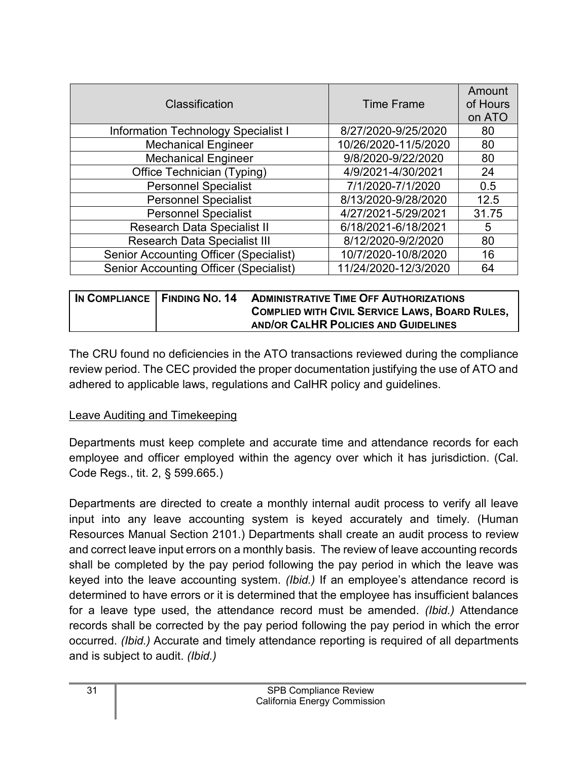| Classification                                | <b>Time Frame</b>    | Amount<br>of Hours<br>on ATO |
|-----------------------------------------------|----------------------|------------------------------|
| <b>Information Technology Specialist I</b>    | 8/27/2020-9/25/2020  | 80                           |
| <b>Mechanical Engineer</b>                    | 10/26/2020-11/5/2020 | 80                           |
| <b>Mechanical Engineer</b>                    | 9/8/2020-9/22/2020   | 80                           |
| Office Technician (Typing)                    | 4/9/2021-4/30/2021   | 24                           |
| <b>Personnel Specialist</b>                   | 7/1/2020-7/1/2020    | 0.5                          |
| <b>Personnel Specialist</b>                   | 8/13/2020-9/28/2020  | 12.5                         |
| <b>Personnel Specialist</b>                   | 4/27/2021-5/29/2021  | 31.75                        |
| <b>Research Data Specialist II</b>            | 6/18/2021-6/18/2021  | 5                            |
| <b>Research Data Specialist III</b>           | 8/12/2020-9/2/2020   | 80                           |
| <b>Senior Accounting Officer (Specialist)</b> | 10/7/2020-10/8/2020  | 16                           |
| <b>Senior Accounting Officer (Specialist)</b> | 11/24/2020-12/3/2020 | 64                           |

|  | IN COMPLIANCE FINDING NO. 14 ADMINISTRATIVE TIME OFF AUTHORIZATIONS |
|--|---------------------------------------------------------------------|
|  | <b>COMPLIED WITH CIVIL SERVICE LAWS, BOARD RULES,</b>               |
|  | AND/OR CALHR POLICIES AND GUIDELINES                                |

The CRU found no deficiencies in the ATO transactions reviewed during the compliance review period. The CEC provided the proper documentation justifying the use of ATO and adhered to applicable laws, regulations and CalHR policy and guidelines.

#### Leave Auditing and Timekeeping

Departments must keep complete and accurate time and attendance records for each employee and officer employed within the agency over which it has jurisdiction. (Cal. Code Regs., tit. 2, § 599.665.)

Departments are directed to create a monthly internal audit process to verify all leave input into any leave accounting system is keyed accurately and timely. (Human Resources Manual Section 2101.) Departments shall create an audit process to review and correct leave input errors on a monthly basis. The review of leave accounting records shall be completed by the pay period following the pay period in which the leave was keyed into the leave accounting system. *(Ibid.)* If an employee's attendance record is determined to have errors or it is determined that the employee has insufficient balances for a leave type used, the attendance record must be amended. *(Ibid.)* Attendance records shall be corrected by the pay period following the pay period in which the error occurred. *(Ibid.)* Accurate and timely attendance reporting is required of all departments and is subject to audit. *(Ibid.)*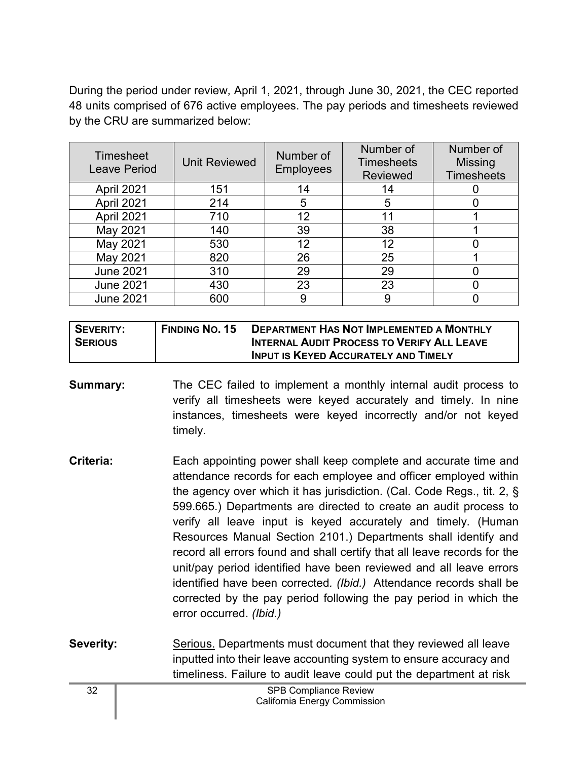During the period under review, April 1, 2021, through June 30, 2021, the CEC reported 48 units comprised of 676 active employees. The pay periods and timesheets reviewed by the CRU are summarized below:

| <b>Timesheet</b><br><b>Leave Period</b> | <b>Unit Reviewed</b> | Number of<br><b>Employees</b> | Number of<br><b>Timesheets</b><br><b>Reviewed</b> | Number of<br><b>Missing</b><br><b>Timesheets</b> |
|-----------------------------------------|----------------------|-------------------------------|---------------------------------------------------|--------------------------------------------------|
| April 2021                              | 151                  | 14                            | 14                                                |                                                  |
| April 2021                              | 214                  | 5                             | 5                                                 |                                                  |
| April 2021                              | 710                  | 12 <sup>2</sup>               |                                                   |                                                  |
| May 2021                                | 140                  | 39                            | 38                                                |                                                  |
| May 2021                                | 530                  | 12                            | 12                                                |                                                  |
| May 2021                                | 820                  | 26                            | 25                                                |                                                  |
| <b>June 2021</b>                        | 310                  | 29                            | 29                                                |                                                  |
| <b>June 2021</b>                        | 430                  | 23                            | 23                                                |                                                  |
| <b>June 2021</b>                        | 600                  | 9                             | 9                                                 |                                                  |

| SEVERITY:      | <b>FINDING NO. 15</b> | <b>DEPARTMENT HAS NOT IMPLEMENTED A MONTHLY</b>   |
|----------------|-----------------------|---------------------------------------------------|
| <b>SERIOUS</b> |                       | <b>INTERNAL AUDIT PROCESS TO VERIFY ALL LEAVE</b> |
|                |                       | <b>INPUT IS KEYED ACCURATELY AND TIMELY</b>       |

**Summary:** The CEC failed to implement a monthly internal audit process to verify all timesheets were keyed accurately and timely. In nine instances, timesheets were keyed incorrectly and/or not keyed timely.

- **Criteria:** Each appointing power shall keep complete and accurate time and attendance records for each employee and officer employed within the agency over which it has jurisdiction. (Cal. Code Regs., tit. 2, § 599.665.) Departments are directed to create an audit process to verify all leave input is keyed accurately and timely. (Human Resources Manual Section 2101.) Departments shall identify and record all errors found and shall certify that all leave records for the unit/pay period identified have been reviewed and all leave errors identified have been corrected*. (Ibid.)* Attendance records shall be corrected by the pay period following the pay period in which the error occurred. *(Ibid.)*
- **Severity:** Serious. Departments must document that they reviewed all leave inputted into their leave accounting system to ensure accuracy and timeliness. Failure to audit leave could put the department at risk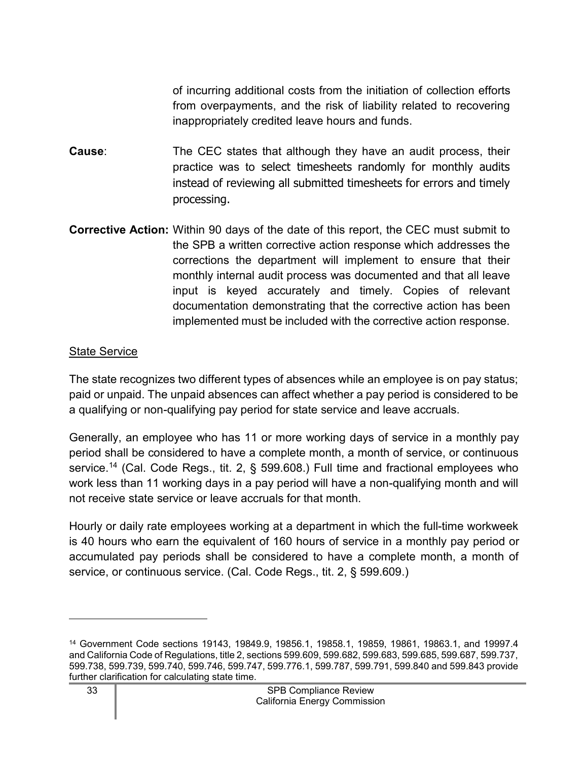of incurring additional costs from the initiation of collection efforts from overpayments, and the risk of liability related to recovering inappropriately credited leave hours and funds.

- **Cause:** The CEC states that although they have an audit process, their practice was to select timesheets randomly for monthly audits instead of reviewing all submitted timesheets for errors and timely processing.
- **Corrective Action:** Within 90 days of the date of this report, the CEC must submit to the SPB a written corrective action response which addresses the corrections the department will implement to ensure that their monthly internal audit process was documented and that all leave input is keyed accurately and timely. Copies of relevant documentation demonstrating that the corrective action has been implemented must be included with the corrective action response.

#### State Service

The state recognizes two different types of absences while an employee is on pay status; paid or unpaid. The unpaid absences can affect whether a pay period is considered to be a qualifying or non-qualifying pay period for state service and leave accruals.

Generally, an employee who has 11 or more working days of service in a monthly pay period shall be considered to have a complete month, a month of service, or continuous service. [14](#page-34-0) (Cal. Code Regs., tit. 2, § 599.608.) Full time and fractional employees who work less than 11 working days in a pay period will have a non-qualifying month and will not receive state service or leave accruals for that month.

Hourly or daily rate employees working at a department in which the full-time workweek is 40 hours who earn the equivalent of 160 hours of service in a monthly pay period or accumulated pay periods shall be considered to have a complete month, a month of service, or continuous service. (Cal. Code Regs., tit. 2, § 599.609.)

<span id="page-34-0"></span><sup>14</sup> Government Code sections 19143, 19849.9, 19856.1, 19858.1, 19859, 19861, 19863.1, and 19997.4 and California Code of Regulations, title 2, sections 599.609, 599.682, 599.683, 599.685, 599.687, 599.737, 599.738, 599.739, 599.740, 599.746, 599.747, 599.776.1, 599.787, 599.791, 599.840 and 599.843 provide further clarification for calculating state time.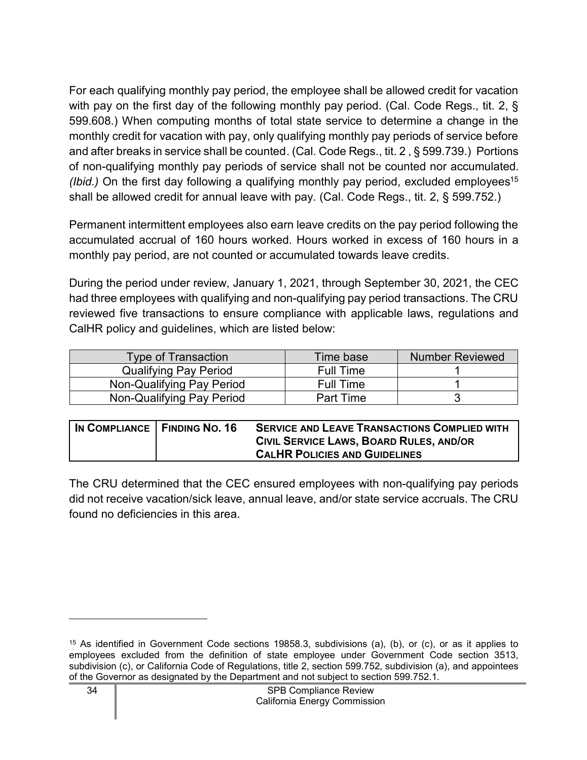For each qualifying monthly pay period, the employee shall be allowed credit for vacation with pay on the first day of the following monthly pay period. (Cal. Code Regs., tit. 2, § 599.608.) When computing months of total state service to determine a change in the monthly credit for vacation with pay, only qualifying monthly pay periods of service before and after breaks in service shall be counted. (Cal. Code Regs., tit. 2 , § 599.739.) Portions of non-qualifying monthly pay periods of service shall not be counted nor accumulated. *(Ibid.)* On the first day following a qualifying monthly pay period, excluded employees<sup>[15](#page-35-0)</sup> shall be allowed credit for annual leave with pay. (Cal. Code Regs., tit. 2, § 599.752.)

Permanent intermittent employees also earn leave credits on the pay period following the accumulated accrual of 160 hours worked. Hours worked in excess of 160 hours in a monthly pay period, are not counted or accumulated towards leave credits.

During the period under review, January 1, 2021, through September 30, 2021, the CEC had three employees with qualifying and non-qualifying pay period transactions. The CRU reviewed five transactions to ensure compliance with applicable laws, regulations and CalHR policy and guidelines, which are listed below:

| <b>Type of Transaction</b>   | Time base        | <b>Number Reviewed</b> |
|------------------------------|------------------|------------------------|
| <b>Qualifying Pay Period</b> | <b>Full Time</b> |                        |
| Non-Qualifying Pay Period    | <b>Full Time</b> |                        |
| Non-Qualifying Pay Period    | <b>Part Time</b> |                        |

| IN COMPLIANCE   FINDING NO. 16 | <b>SERVICE AND LEAVE TRANSACTIONS COMPLIED WITH</b> |
|--------------------------------|-----------------------------------------------------|
|                                | CIVIL SERVICE LAWS, BOARD RULES, AND/OR             |
|                                | <b>CALHR POLICIES AND GUIDELINES</b>                |

The CRU determined that the CEC ensured employees with non-qualifying pay periods did not receive vacation/sick leave, annual leave, and/or state service accruals. The CRU found no deficiencies in this area.

<span id="page-35-0"></span><sup>15</sup> As identified in Government Code sections 19858.3, subdivisions (a), (b), or (c), or as it applies to employees excluded from the definition of state employee under Government Code section 3513, subdivision (c), or California Code of Regulations, title 2, section 599.752, subdivision (a), and appointees of the Governor as designated by the Department and not subject to section 599.752.1.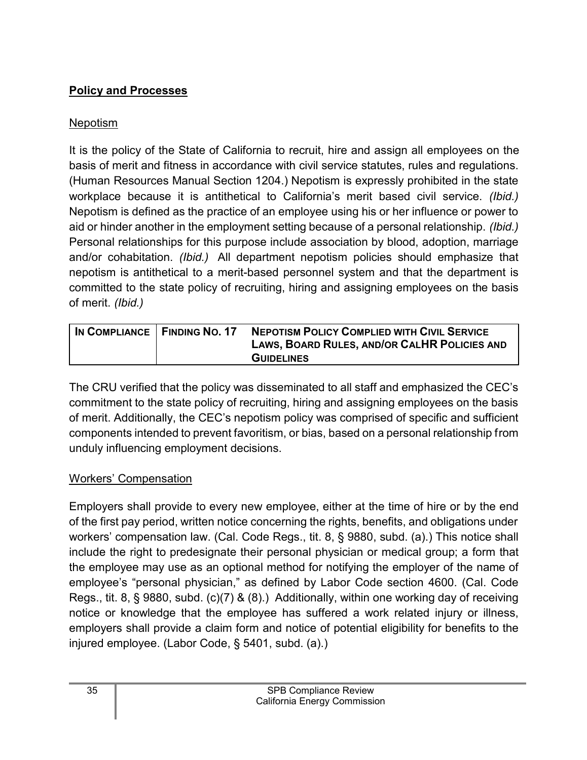## <span id="page-36-0"></span>**Policy and Processes**

## Nepotism

It is the policy of the State of California to recruit, hire and assign all employees on the basis of merit and fitness in accordance with civil service statutes, rules and regulations. (Human Resources Manual Section 1204.) Nepotism is expressly prohibited in the state workplace because it is antithetical to California's merit based civil service. *(Ibid.)* Nepotism is defined as the practice of an employee using his or her influence or power to aid or hinder another in the employment setting because of a personal relationship. *(Ibid.)* Personal relationships for this purpose include association by blood, adoption, marriage and/or cohabitation. *(Ibid.)* All department nepotism policies should emphasize that nepotism is antithetical to a merit-based personnel system and that the department is committed to the state policy of recruiting, hiring and assigning employees on the basis of merit. *(Ibid.)*

| IN COMPLIANCE   FINDING NO. 17 | <b>NEPOTISM POLICY COMPLIED WITH CIVIL SERVICE</b> |
|--------------------------------|----------------------------------------------------|
|                                | LAWS, BOARD RULES, AND/OR CALHR POLICIES AND       |
|                                | <b>GUIDELINES</b>                                  |

The CRU verified that the policy was disseminated to all staff and emphasized the CEC's commitment to the state policy of recruiting, hiring and assigning employees on the basis of merit. Additionally, the CEC's nepotism policy was comprised of specific and sufficient components intended to prevent favoritism, or bias, based on a personal relationship from unduly influencing employment decisions.

## Workers' Compensation

Employers shall provide to every new employee, either at the time of hire or by the end of the first pay period, written notice concerning the rights, benefits, and obligations under workers' compensation law. (Cal. Code Regs., tit. 8, § 9880, subd. (a).) This notice shall include the right to predesignate their personal physician or medical group; a form that the employee may use as an optional method for notifying the employer of the name of employee's "personal physician," as defined by Labor Code section 4600. (Cal. Code Regs., tit. 8, § 9880, subd. (c)(7) & (8).) Additionally, within one working day of receiving notice or knowledge that the employee has suffered a work related injury or illness, employers shall provide a claim form and notice of potential eligibility for benefits to the injured employee. (Labor Code, § 5401, subd. (a).)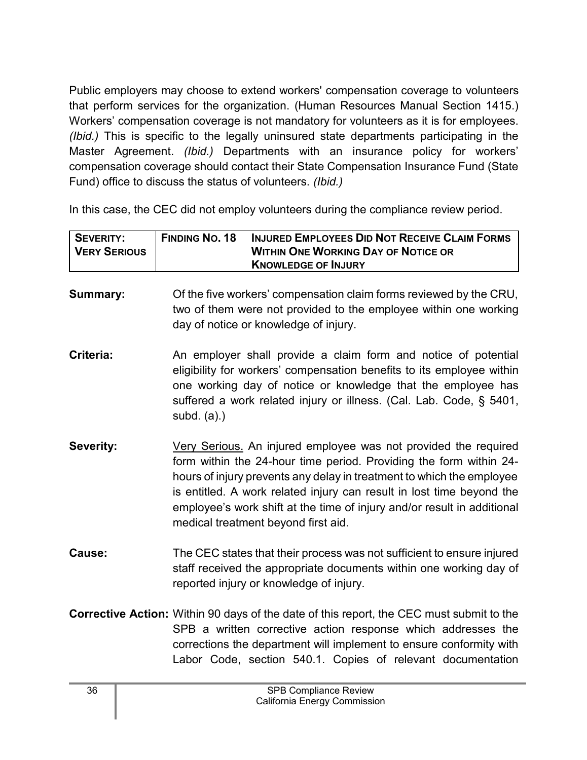Public employers may choose to extend workers' compensation coverage to volunteers that perform services for the organization. (Human Resources Manual Section 1415.) Workers' compensation coverage is not mandatory for volunteers as it is for employees. *(Ibid.)* This is specific to the legally uninsured state departments participating in the Master Agreement. *(Ibid.)* Departments with an insurance policy for workers' compensation coverage should contact their State Compensation Insurance Fund (State Fund) office to discuss the status of volunteers. *(Ibid.)*

In this case, the CEC did not employ volunteers during the compliance review period.

| I SEVERITY:  | <b>FINDING NO. 18</b> | <b>INJURED EMPLOYEES DID NOT RECEIVE CLAIM FORMS</b> |
|--------------|-----------------------|------------------------------------------------------|
| VERY SERIOUS |                       | <b>WITHIN ONE WORKING DAY OF NOTICE OR</b>           |
|              |                       | <b>KNOWLEDGE OF INJURY</b>                           |

**Summary:** Of the five workers' compensation claim forms reviewed by the CRU, two of them were not provided to the employee within one working day of notice or knowledge of injury.

- **Criteria:** An employer shall provide a claim form and notice of potential eligibility for workers' compensation benefits to its employee within one working day of notice or knowledge that the employee has suffered a work related injury or illness. (Cal. Lab. Code, § 5401, subd. (a).)
- **Severity:** Very Serious. An injured employee was not provided the required form within the 24-hour time period. Providing the form within 24 hours of injury prevents any delay in treatment to which the employee is entitled. A work related injury can result in lost time beyond the employee's work shift at the time of injury and/or result in additional medical treatment beyond first aid.
- **Cause:** The CEC states that their process was not sufficient to ensure injured staff received the appropriate documents within one working day of reported injury or knowledge of injury.
- **Corrective Action:** Within 90 days of the date of this report, the CEC must submit to the SPB a written corrective action response which addresses the corrections the department will implement to ensure conformity with Labor Code, section 540.1. Copies of relevant documentation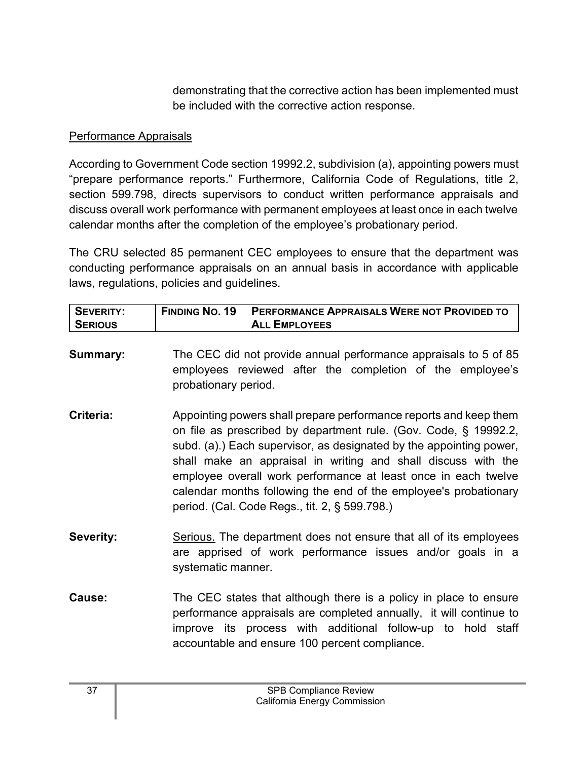demonstrating that the corrective action has been implemented must be included with the corrective action response.

#### Performance Appraisals

According to Government Code section 19992.2, subdivision (a), appointing powers must "prepare performance reports." Furthermore, California Code of Regulations, title 2, section 599.798, directs supervisors to conduct written performance appraisals and discuss overall work performance with permanent employees at least once in each twelve calendar months after the completion of the employee's probationary period.

The CRU selected 85 permanent CEC employees to ensure that the department was conducting performance appraisals on an annual basis in accordance with applicable laws, regulations, policies and guidelines.

| <b>SEVERITY:</b><br><b>SERIOUS</b> | <b>FINDING NO. 19</b><br>PERFORMANCE APPRAISALS WERE NOT PROVIDED TO<br><b>ALL EMPLOYEES</b>                                                                                                                                                                                                                                                                                                                                                                         |
|------------------------------------|----------------------------------------------------------------------------------------------------------------------------------------------------------------------------------------------------------------------------------------------------------------------------------------------------------------------------------------------------------------------------------------------------------------------------------------------------------------------|
| <b>Summary:</b>                    | The CEC did not provide annual performance appraisals to 5 of 85<br>employees reviewed after the completion of the employee's<br>probationary period.                                                                                                                                                                                                                                                                                                                |
| Criteria:                          | Appointing powers shall prepare performance reports and keep them<br>on file as prescribed by department rule. (Gov. Code, § 19992.2,<br>subd. (a).) Each supervisor, as designated by the appointing power,<br>shall make an appraisal in writing and shall discuss with the<br>employee overall work performance at least once in each twelve<br>calendar months following the end of the employee's probationary<br>period. (Cal. Code Regs., tit. 2, § 599.798.) |
| <b>Severity:</b>                   | Serious. The department does not ensure that all of its employees<br>are apprised of work performance issues and/or goals in a<br>systematic manner.                                                                                                                                                                                                                                                                                                                 |
| Cause:                             | The CEC states that although there is a policy in place to ensure<br>performance appraisals are completed annually, it will continue to<br>improve its process with additional follow-up to hold staff<br>accountable and ensure 100 percent compliance.                                                                                                                                                                                                             |